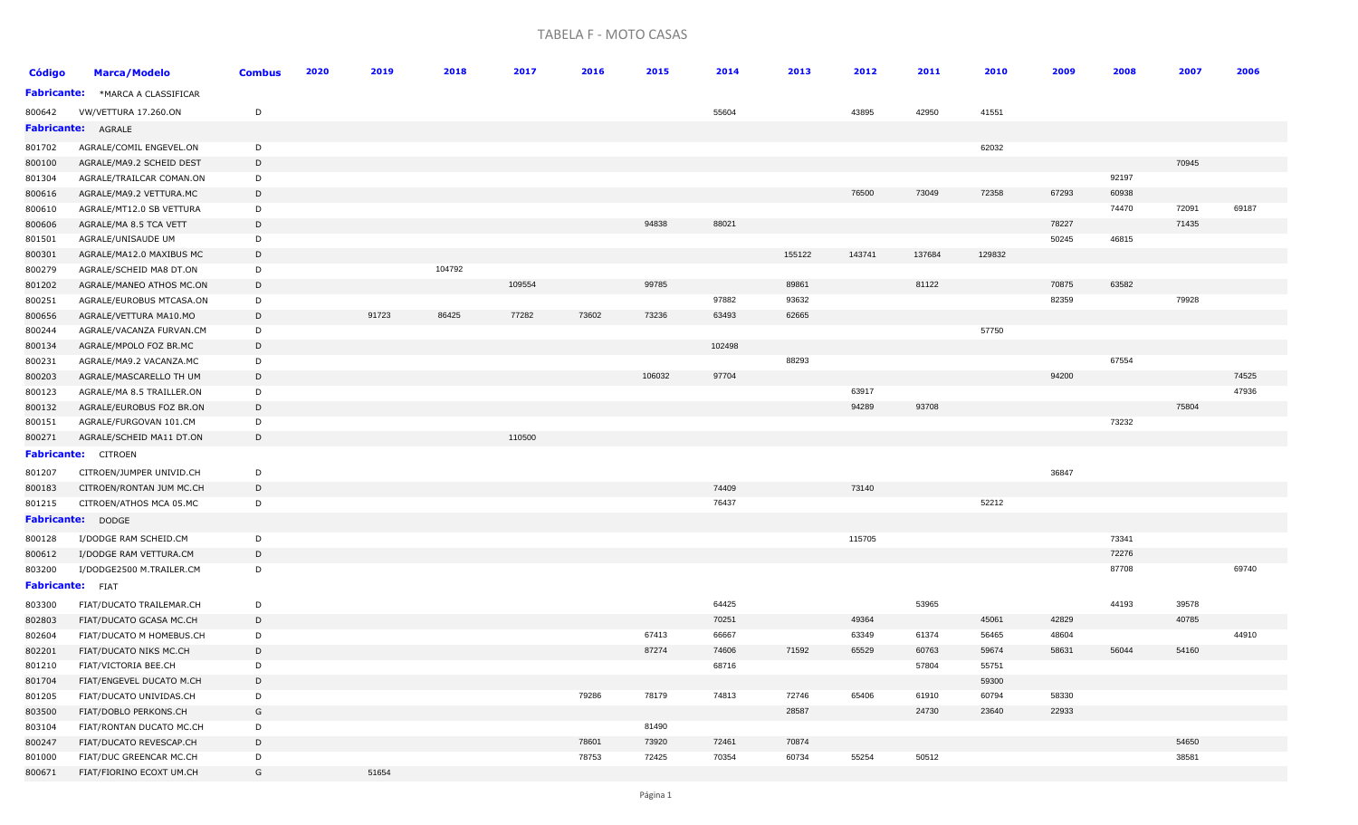## TABELA F - MOTO CASAS

| <b>Código</b>           | <b>Marca/Modelo</b>                                | <b>Combus</b> | 2020 | 2019  | 2018   | 2017   | 2016  | 2015   | 2014   | 2013   | 2012   | 2011   | 2010   | 2009  | 2008  | 2007  | 2006  |
|-------------------------|----------------------------------------------------|---------------|------|-------|--------|--------|-------|--------|--------|--------|--------|--------|--------|-------|-------|-------|-------|
|                         | Fabricante: * MARCA A CLASSIFICAR                  |               |      |       |        |        |       |        |        |        |        |        |        |       |       |       |       |
| 800642                  | VW/VETTURA 17.260.ON                               | D             |      |       |        |        |       |        | 55604  |        | 43895  | 42950  | 41551  |       |       |       |       |
|                         | <b>Fabricante: AGRALE</b>                          |               |      |       |        |        |       |        |        |        |        |        |        |       |       |       |       |
| 801702                  | AGRALE/COMIL ENGEVEL.ON                            | D             |      |       |        |        |       |        |        |        |        |        | 62032  |       |       |       |       |
| 800100                  | AGRALE/MA9.2 SCHEID DEST                           | D             |      |       |        |        |       |        |        |        |        |        |        |       |       | 70945 |       |
| 801304                  | AGRALE/TRAILCAR COMAN.ON                           | D             |      |       |        |        |       |        |        |        |        |        |        |       | 92197 |       |       |
| 800616                  | AGRALE/MA9.2 VETTURA.MC                            | D             |      |       |        |        |       |        |        |        | 76500  | 73049  | 72358  | 67293 | 60938 |       |       |
| 800610                  | AGRALE/MT12.0 SB VETTURA                           | D             |      |       |        |        |       |        |        |        |        |        |        |       | 74470 | 72091 | 69187 |
| 800606                  | AGRALE/MA 8.5 TCA VETT                             | D             |      |       |        |        |       | 94838  | 88021  |        |        |        |        | 78227 |       | 71435 |       |
| 801501                  | AGRALE/UNISAUDE UM                                 | D             |      |       |        |        |       |        |        |        |        |        |        | 50245 | 46815 |       |       |
| 800301                  | AGRALE/MA12.0 MAXIBUS MC                           | D             |      |       |        |        |       |        |        | 155122 | 143741 | 137684 | 129832 |       |       |       |       |
| 800279                  | AGRALE/SCHEID MA8 DT.ON                            | D             |      |       | 104792 |        |       |        |        |        |        |        |        |       |       |       |       |
| 801202                  | AGRALE/MANEO ATHOS MC.ON                           | D             |      |       |        | 109554 |       | 99785  |        | 89861  |        | 81122  |        | 70875 | 63582 |       |       |
| 800251                  | AGRALE/EUROBUS MTCASA.ON                           | D             |      |       |        |        |       |        | 97882  | 93632  |        |        |        | 82359 |       | 79928 |       |
| 800656                  | AGRALE/VETTURA MA10.MO                             | D             |      | 91723 | 86425  | 77282  | 73602 | 73236  | 63493  | 62665  |        |        |        |       |       |       |       |
| 800244                  | AGRALE/VACANZA FURVAN.CM                           | D             |      |       |        |        |       |        |        |        |        |        | 57750  |       |       |       |       |
| 800134                  | AGRALE/MPOLO FOZ BR.MC                             | D             |      |       |        |        |       |        | 102498 |        |        |        |        |       |       |       |       |
| 800231                  | AGRALE/MA9.2 VACANZA.MC                            | D             |      |       |        |        |       |        |        | 88293  |        |        |        |       | 67554 |       |       |
| 800203                  | AGRALE/MASCARELLO TH UM                            | D             |      |       |        |        |       | 106032 | 97704  |        |        |        |        | 94200 |       |       | 74525 |
| 800123                  | AGRALE/MA 8.5 TRAILLER.ON                          | D             |      |       |        |        |       |        |        |        | 63917  |        |        |       |       |       | 47936 |
| 800132                  | AGRALE/EUROBUS FOZ BR.ON                           | D             |      |       |        |        |       |        |        |        | 94289  | 93708  |        |       |       | 75804 |       |
| 800151                  | AGRALE/FURGOVAN 101.CM                             | D             |      |       |        |        |       |        |        |        |        |        |        |       | 73232 |       |       |
| 800271                  | AGRALE/SCHEID MA11 DT.ON                           | D             |      |       |        | 110500 |       |        |        |        |        |        |        |       |       |       |       |
|                         | <b>Fabricante:</b> CITROEN                         |               |      |       |        |        |       |        |        |        |        |        |        |       |       |       |       |
| 801207                  | CITROEN/JUMPER UNIVID.CH                           | D             |      |       |        |        |       |        |        |        |        |        |        | 36847 |       |       |       |
| 800183                  | CITROEN/RONTAN JUM MC.CH                           | D             |      |       |        |        |       |        | 74409  |        | 73140  |        |        |       |       |       |       |
| 801215                  | CITROEN/ATHOS MCA 05.MC                            | D             |      |       |        |        |       |        | 76437  |        |        |        | 52212  |       |       |       |       |
|                         | <b>Fabricante: DODGE</b>                           |               |      |       |        |        |       |        |        |        |        |        |        |       |       |       |       |
| 800128                  | I/DODGE RAM SCHEID.CM                              | D             |      |       |        |        |       |        |        |        | 115705 |        |        |       | 73341 |       |       |
| 800612                  | I/DODGE RAM VETTURA.CM                             | D             |      |       |        |        |       |        |        |        |        |        |        |       | 72276 |       |       |
| 803200                  | I/DODGE2500 M.TRAILER.CM                           | D             |      |       |        |        |       |        |        |        |        |        |        |       | 87708 |       | 69740 |
| <b>Fabricante:</b> FIAT |                                                    |               |      |       |        |        |       |        |        |        |        |        |        |       |       |       |       |
| 803300                  | FIAT/DUCATO TRAILEMAR.CH                           | D             |      |       |        |        |       |        | 64425  |        |        | 53965  |        |       | 44193 | 39578 |       |
| 802803                  | FIAT/DUCATO GCASA MC.CH                            | D             |      |       |        |        |       |        | 70251  |        | 49364  |        | 45061  | 42829 |       | 40785 |       |
| 802604                  | FIAT/DUCATO M HOMEBUS.CH                           | D             |      |       |        |        |       | 67413  | 66667  |        | 63349  | 61374  | 56465  | 48604 |       |       | 44910 |
| 802201                  | FIAT/DUCATO NIKS MC.CH                             | D             |      |       |        |        |       | 87274  | 74606  | 71592  | 65529  | 60763  | 59674  | 58631 | 56044 | 54160 |       |
| 801210                  | FIAT/VICTORIA BEE.CH                               | D             |      |       |        |        |       |        | 68716  |        |        | 57804  | 55751  |       |       |       |       |
| 801704                  | FIAT/ENGEVEL DUCATO M.CH                           | D             |      |       |        |        |       |        |        |        |        |        | 59300  |       |       |       |       |
| 801205                  | FIAT/DUCATO UNIVIDAS.CH                            | D             |      |       |        |        | 79286 | 78179  | 74813  | 72746  | 65406  | 61910  | 60794  | 58330 |       |       |       |
| 803500                  | FIAT/DOBLO PERKONS.CH                              | G             |      |       |        |        |       |        |        | 28587  |        | 24730  | 23640  | 22933 |       |       |       |
|                         |                                                    | D             |      |       |        |        |       | 81490  |        |        |        |        |        |       |       |       |       |
| 803104                  | FIAT/RONTAN DUCATO MC.CH                           | D             |      |       |        |        | 78601 | 73920  | 72461  | 70874  |        |        |        |       |       | 54650 |       |
| 800247<br>801000        | FIAT/DUCATO REVESCAP.CH<br>FIAT/DUC GREENCAR MC.CH | D             |      |       |        |        | 78753 | 72425  | 70354  | 60734  | 55254  | 50512  |        |       |       | 38581 |       |
| 800671                  | FIAT/FIORINO ECOXT UM.CH                           | G             |      | 51654 |        |        |       |        |        |        |        |        |        |       |       |       |       |
|                         |                                                    |               |      |       |        |        |       |        |        |        |        |        |        |       |       |       |       |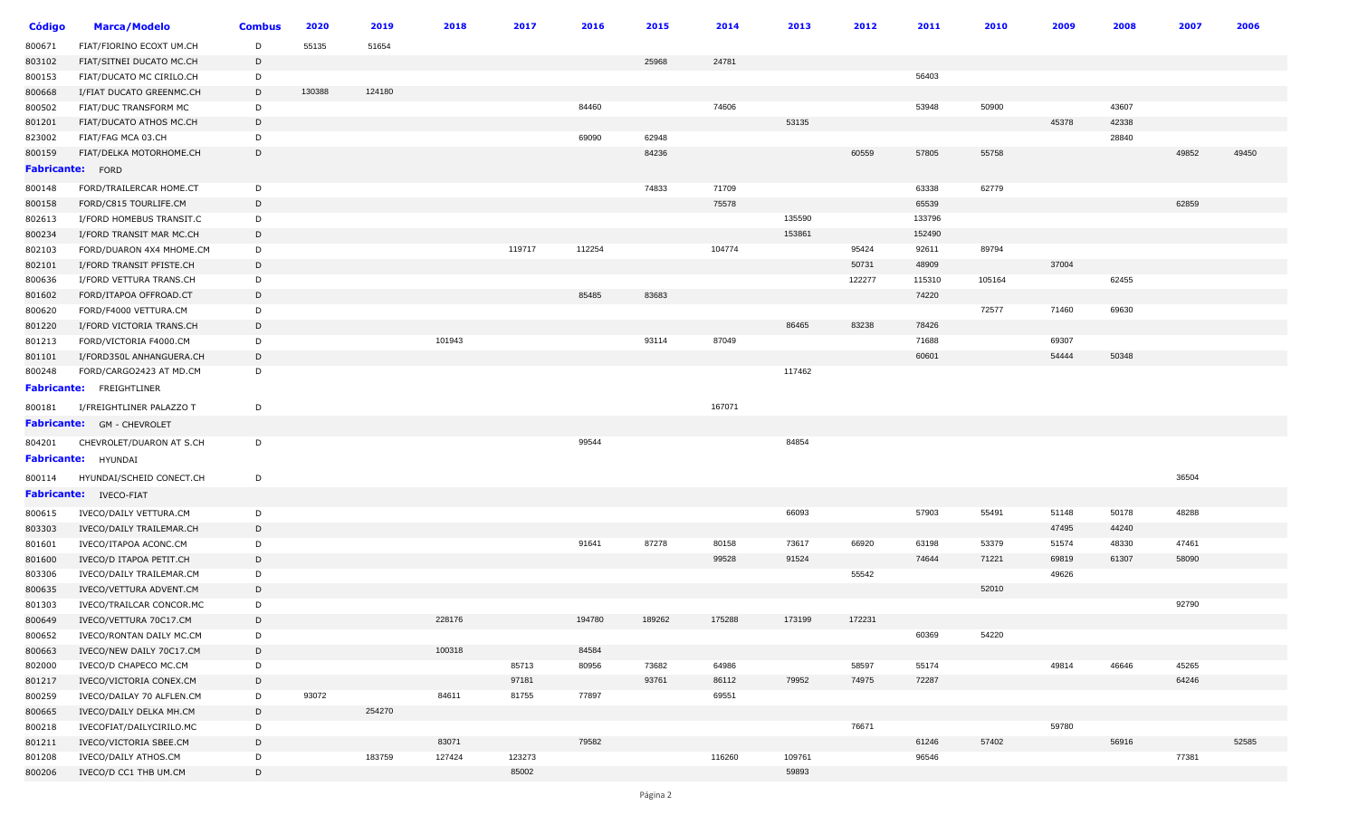| Código           | <b>Marca/Modelo</b>               | <b>Combus</b> | 2020   | 2019   | 2018   | 2017   | 2016   | 2015   | 2014   | 2013   | 2012   | 2011   | 2010   | 2009  | 2008  | 2007  | 2006  |
|------------------|-----------------------------------|---------------|--------|--------|--------|--------|--------|--------|--------|--------|--------|--------|--------|-------|-------|-------|-------|
| 800671           | FIAT/FIORINO ECOXT UM.CH          | D             | 55135  | 51654  |        |        |        |        |        |        |        |        |        |       |       |       |       |
| 803102           | FIAT/SITNEI DUCATO MC.CH          | D             |        |        |        |        |        | 25968  | 24781  |        |        |        |        |       |       |       |       |
| 800153           | FIAT/DUCATO MC CIRILO.CH          | D             |        |        |        |        |        |        |        |        |        | 56403  |        |       |       |       |       |
| 800668           | I/FIAT DUCATO GREENMC.CH          | D             | 130388 | 124180 |        |        |        |        |        |        |        |        |        |       |       |       |       |
| 800502           | FIAT/DUC TRANSFORM MC             | D             |        |        |        |        | 84460  |        | 74606  |        |        | 53948  | 50900  |       | 43607 |       |       |
| 801201           | FIAT/DUCATO ATHOS MC.CH           | D             |        |        |        |        |        |        |        | 53135  |        |        |        | 45378 | 42338 |       |       |
| 823002           | FIAT/FAG MCA 03.CH                | D             |        |        |        |        | 69090  | 62948  |        |        |        |        |        |       | 28840 |       |       |
| 800159           | FIAT/DELKA MOTORHOME.CH           | D             |        |        |        |        |        | 84236  |        |        | 60559  | 57805  | 55758  |       |       | 49852 | 49450 |
| Fabricante: FORD |                                   |               |        |        |        |        |        |        |        |        |        |        |        |       |       |       |       |
| 800148           | FORD/TRAILERCAR HOME.CT           | D             |        |        |        |        |        | 74833  | 71709  |        |        | 63338  | 62779  |       |       |       |       |
| 800158           | FORD/C815 TOURLIFE.CM             | D             |        |        |        |        |        |        | 75578  |        |        | 65539  |        |       |       | 62859 |       |
| 802613           | I/FORD HOMEBUS TRANSIT.C          | D             |        |        |        |        |        |        |        | 135590 |        | 133796 |        |       |       |       |       |
| 800234           | I/FORD TRANSIT MAR MC.CH          | D             |        |        |        |        |        |        |        | 153861 |        | 152490 |        |       |       |       |       |
| 802103           | FORD/DUARON 4X4 MHOME.CM          | D             |        |        |        | 119717 | 112254 |        | 104774 |        | 95424  | 92611  | 89794  |       |       |       |       |
| 802101           | I/FORD TRANSIT PFISTE.CH          | D             |        |        |        |        |        |        |        |        | 50731  | 48909  |        | 37004 |       |       |       |
| 800636           | I/FORD VETTURA TRANS.CH           | D             |        |        |        |        |        |        |        |        | 122277 | 115310 | 105164 |       | 62455 |       |       |
| 801602           | FORD/ITAPOA OFFROAD.CT            | D             |        |        |        |        | 85485  | 83683  |        |        |        | 74220  |        |       |       |       |       |
| 800620           | FORD/F4000 VETTURA.CM             | D             |        |        |        |        |        |        |        |        |        |        | 72577  | 71460 | 69630 |       |       |
| 801220           | I/FORD VICTORIA TRANS.CH          | D             |        |        |        |        |        |        |        | 86465  | 83238  | 78426  |        |       |       |       |       |
| 801213           | FORD/VICTORIA F4000.CM            | D             |        |        | 101943 |        |        | 93114  | 87049  |        |        | 71688  |        | 69307 |       |       |       |
| 801101           | I/FORD350L ANHANGUERA.CH          | D             |        |        |        |        |        |        |        |        |        | 60601  |        | 54444 | 50348 |       |       |
| 800248           | FORD/CARGO2423 AT MD.CM           | D             |        |        |        |        |        |        |        | 117462 |        |        |        |       |       |       |       |
|                  | <b>Fabricante:</b> FREIGHTLINER   |               |        |        |        |        |        |        |        |        |        |        |        |       |       |       |       |
| 800181           | I/FREIGHTLINER PALAZZO T          | D             |        |        |        |        |        |        | 167071 |        |        |        |        |       |       |       |       |
|                  | <b>Fabricante:</b> GM - CHEVROLET |               |        |        |        |        |        |        |        |        |        |        |        |       |       |       |       |
|                  |                                   |               |        |        |        |        |        |        |        |        |        |        |        |       |       |       |       |
| 804201           | CHEVROLET/DUARON AT S.CH          | D             |        |        |        |        | 99544  |        |        | 84854  |        |        |        |       |       |       |       |
|                  | Fabricante: HYUNDAI               |               |        |        |        |        |        |        |        |        |        |        |        |       |       |       |       |
| 800114           | HYUNDAI/SCHEID CONECT.CH          | D             |        |        |        |        |        |        |        |        |        |        |        |       |       | 36504 |       |
|                  | Fabricante: IVECO-FIAT            |               |        |        |        |        |        |        |        |        |        |        |        |       |       |       |       |
| 800615           | IVECO/DAILY VETTURA.CM            | D             |        |        |        |        |        |        |        | 66093  |        | 57903  | 55491  | 51148 | 50178 | 48288 |       |
| 803303           | IVECO/DAILY TRAILEMAR.CH          | D             |        |        |        |        |        |        |        |        |        |        |        | 47495 | 44240 |       |       |
| 801601           | IVECO/ITAPOA ACONC.CM             | D             |        |        |        |        | 91641  | 87278  | 80158  | 73617  | 66920  | 63198  | 53379  | 51574 | 48330 | 47461 |       |
| 801600           | IVECO/D ITAPOA PETIT.CH           | D             |        |        |        |        |        |        | 99528  | 91524  |        | 74644  | 71221  | 69819 | 61307 | 58090 |       |
| 803306           | IVECO/DAILY TRAILEMAR.CM          | D             |        |        |        |        |        |        |        |        | 55542  |        |        | 49626 |       |       |       |
| 800635           | IVECO/VETTURA ADVENT.CM           | D             |        |        |        |        |        |        |        |        |        |        | 52010  |       |       |       |       |
| 801303           | IVECO/TRAILCAR CONCOR.MC          | D             |        |        |        |        |        |        |        |        |        |        |        |       |       | 92790 |       |
| 800649           | IVECO/VETTURA 70C17.CM            | D             |        |        | 228176 |        | 194780 | 189262 | 175288 | 173199 | 172231 |        |        |       |       |       |       |
| 800652           | IVECO/RONTAN DAILY MC.CM          | D             |        |        |        |        |        |        |        |        |        | 60369  | 54220  |       |       |       |       |
| 800663           | IVECO/NEW DAILY 70C17.CM          | D             |        |        | 100318 |        | 84584  |        |        |        |        |        |        |       |       |       |       |
| 802000           | IVECO/D CHAPECO MC.CM             | D             |        |        |        | 85713  | 80956  | 73682  | 64986  |        | 58597  | 55174  |        | 49814 | 46646 | 45265 |       |
| 801217           | IVECO/VICTORIA CONEX.CM           | D             |        |        |        | 97181  |        | 93761  | 86112  | 79952  | 74975  | 72287  |        |       |       | 64246 |       |
| 800259           | IVECO/DAILAY 70 ALFLEN.CM         | D             | 93072  |        | 84611  | 81755  | 77897  |        | 69551  |        |        |        |        |       |       |       |       |
| 800665           | IVECO/DAILY DELKA MH.CM           | D             |        | 254270 |        |        |        |        |        |        |        |        |        |       |       |       |       |
| 800218           | IVECOFIAT/DAILYCIRILO.MC          | D             |        |        |        |        |        |        |        |        | 76671  |        |        | 59780 |       |       |       |
| 801211           | IVECO/VICTORIA SBEE.CM            | D             |        |        | 83071  |        | 79582  |        |        |        |        | 61246  | 57402  |       | 56916 |       | 52585 |
| 801208           | IVECO/DAILY ATHOS.CM              | D             |        | 183759 | 127424 | 123273 |        |        | 116260 | 109761 |        | 96546  |        |       |       | 77381 |       |
| 800206           | IVECO/D CC1 THB UM.CM             | D             |        |        |        | 85002  |        |        |        | 59893  |        |        |        |       |       |       |       |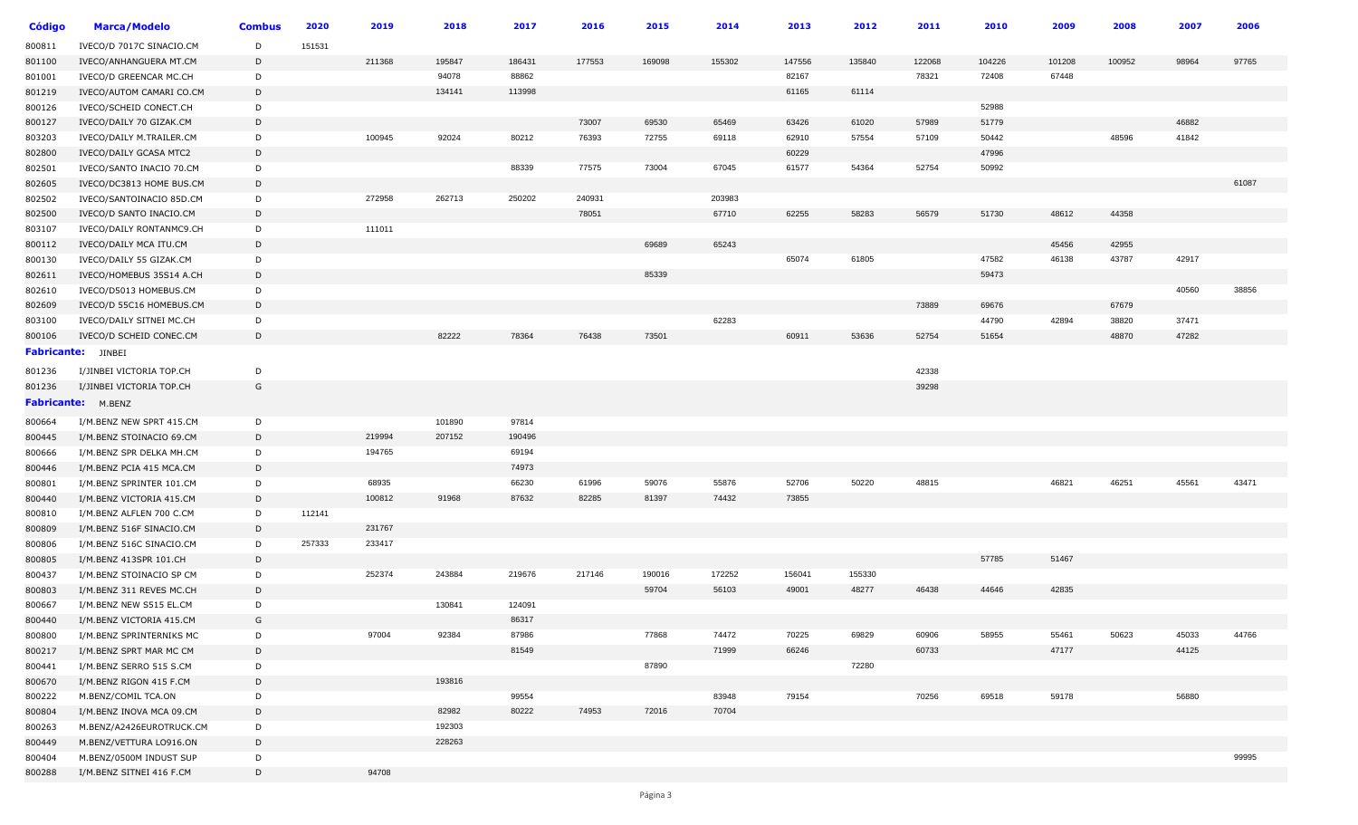| Código | <b>Marca/Modelo</b>                                 | <b>Combus</b> | 2020   | 2019   | 2018             | 2017   | 2016   | 2015            | 2014   | 2013   | 2012            | 2011   | 2010   | 2009   | 2008   | 2007  | 2006  |
|--------|-----------------------------------------------------|---------------|--------|--------|------------------|--------|--------|-----------------|--------|--------|-----------------|--------|--------|--------|--------|-------|-------|
| 800811 | IVECO/D 7017C SINACIO.CM                            | D             | 151531 |        |                  |        |        |                 |        |        |                 |        |        |        |        |       |       |
| 801100 | IVECO/ANHANGUERA MT.CM                              | D             |        | 211368 | 195847           | 186431 | 177553 | 169098          | 155302 | 147556 | 135840          | 122068 | 104226 | 101208 | 100952 | 98964 | 97765 |
| 801001 | IVECO/D GREENCAR MC.CH                              | D             |        |        | 94078            | 88862  |        |                 |        | 82167  |                 | 78321  | 72408  | 67448  |        |       |       |
| 801219 | IVECO/AUTOM CAMARI CO.CM                            | D             |        |        | 134141           | 113998 |        |                 |        | 61165  | 61114           |        |        |        |        |       |       |
| 800126 | IVECO/SCHEID CONECT.CH                              | D             |        |        |                  |        |        |                 |        |        |                 |        | 52988  |        |        |       |       |
| 800127 | IVECO/DAILY 70 GIZAK.CM                             | D             |        |        |                  |        | 73007  | 69530           | 65469  | 63426  | 61020           | 57989  | 51779  |        |        | 46882 |       |
| 803203 | IVECO/DAILY M.TRAILER.CM                            | D             |        | 100945 | 92024            | 80212  | 76393  | 72755           | 69118  | 62910  | 57554           | 57109  | 50442  |        | 48596  | 41842 |       |
| 802800 | IVECO/DAILY GCASA MTC2                              | D             |        |        |                  |        |        |                 |        | 60229  |                 |        | 47996  |        |        |       |       |
| 802501 | IVECO/SANTO INACIO 70.CM                            | D             |        |        |                  | 88339  | 77575  | 73004           | 67045  | 61577  | 54364           | 52754  | 50992  |        |        |       |       |
| 802605 | IVECO/DC3813 HOME BUS.CM                            | D             |        |        |                  |        |        |                 |        |        |                 |        |        |        |        |       | 61087 |
| 802502 | IVECO/SANTOINACIO 85D.CM                            | D             |        | 272958 | 262713           | 250202 | 240931 |                 | 203983 |        |                 |        |        |        |        |       |       |
| 802500 | IVECO/D SANTO INACIO.CM                             | D             |        |        |                  |        | 78051  |                 | 67710  | 62255  | 58283           | 56579  | 51730  | 48612  | 44358  |       |       |
| 803107 | IVECO/DAILY RONTANMC9.CH                            | D             |        | 111011 |                  |        |        |                 |        |        |                 |        |        |        |        |       |       |
| 800112 | IVECO/DAILY MCA ITU.CM                              | D             |        |        |                  |        |        | 69689           | 65243  |        |                 |        |        | 45456  | 42955  |       |       |
| 800130 | IVECO/DAILY 55 GIZAK.CM                             | D             |        |        |                  |        |        |                 |        | 65074  | 61805           |        | 47582  | 46138  | 43787  | 42917 |       |
| 802611 | IVECO/HOMEBUS 35S14 A.CH                            | D             |        |        |                  |        |        | 85339           |        |        |                 |        | 59473  |        |        |       |       |
| 802610 | IVECO/D5013 HOMEBUS.CM                              | D             |        |        |                  |        |        |                 |        |        |                 |        |        |        |        | 40560 | 38856 |
| 802609 | IVECO/D 55C16 HOMEBUS.CM                            | D             |        |        |                  |        |        |                 |        |        |                 | 73889  | 69676  |        | 67679  |       |       |
| 803100 | IVECO/DAILY SITNEI MC.CH                            | D             |        |        |                  |        |        |                 | 62283  |        |                 |        | 44790  | 42894  | 38820  | 37471 |       |
| 800106 | IVECO/D SCHEID CONEC.CM                             | D             |        |        | 82222            | 78364  | 76438  | 73501           |        | 60911  | 53636           | 52754  | 51654  |        | 48870  | 47282 |       |
|        | <b>Fabricante:</b> JINBEI                           |               |        |        |                  |        |        |                 |        |        |                 |        |        |        |        |       |       |
| 801236 | I/JINBEI VICTORIA TOP.CH                            | D             |        |        |                  |        |        |                 |        |        |                 | 42338  |        |        |        |       |       |
| 801236 | I/JINBEI VICTORIA TOP.CH                            | G             |        |        |                  |        |        |                 |        |        |                 | 39298  |        |        |        |       |       |
|        | Fabricante: M.BENZ                                  |               |        |        |                  |        |        |                 |        |        |                 |        |        |        |        |       |       |
|        |                                                     |               |        |        | 101890           | 97814  |        |                 |        |        |                 |        |        |        |        |       |       |
| 800664 | I/M.BENZ NEW SPRT 415.CM                            | D             |        |        |                  |        |        |                 |        |        |                 |        |        |        |        |       |       |
| 800445 | I/M.BENZ STOINACIO 69.CM                            | D             |        | 219994 | 207152           | 190496 |        |                 |        |        |                 |        |        |        |        |       |       |
| 800666 | I/M.BENZ SPR DELKA MH.CM                            | D             |        | 194765 |                  | 69194  |        |                 |        |        |                 |        |        |        |        |       |       |
| 800446 | I/M.BENZ PCIA 415 MCA.CM                            | D             |        |        |                  | 74973  |        |                 |        |        |                 |        |        |        |        |       |       |
| 800801 | I/M.BENZ SPRINTER 101.CM                            | D             |        | 68935  |                  | 66230  | 61996  | 59076           | 55876  | 52706  | 50220           | 48815  |        | 46821  | 46251  | 45561 | 43471 |
| 800440 | I/M.BENZ VICTORIA 415.CM                            | D             |        | 100812 | 91968            | 87632  | 82285  | 81397           | 74432  | 73855  |                 |        |        |        |        |       |       |
| 800810 | I/M.BENZ ALFLEN 700 C.CM                            | D             | 112141 |        |                  |        |        |                 |        |        |                 |        |        |        |        |       |       |
| 800809 | I/M.BENZ 516F SINACIO.CM                            | D             |        | 231767 |                  |        |        |                 |        |        |                 |        |        |        |        |       |       |
| 800806 | I/M.BENZ 516C SINACIO.CM                            | D             | 257333 | 233417 |                  |        |        |                 |        |        |                 |        |        |        |        |       |       |
| 800805 | I/M.BENZ 413SPR 101.CH                              | D             |        |        |                  |        |        |                 | 172252 |        |                 |        | 57785  | 51467  |        |       |       |
| 800437 | I/M.BENZ STOINACIO SP CM                            | D             |        | 252374 | 243884           | 219676 | 217146 | 190016<br>59704 |        | 156041 | 155330<br>48277 | 46438  | 44646  | 42835  |        |       |       |
| 800803 | I/M.BENZ 311 REVES MC.CH                            | D             |        |        | 130841           | 124091 |        |                 | 56103  | 49001  |                 |        |        |        |        |       |       |
| 800667 | I/M.BENZ NEW S515 EL.CM<br>I/M.BENZ VICTORIA 415.CM | D<br>G        |        |        |                  | 86317  |        |                 |        |        |                 |        |        |        |        |       |       |
| 800440 |                                                     |               |        | 97004  | 92384            | 87986  |        | 77868           | 74472  | 70225  | 69829           | 60906  | 58955  | 55461  | 50623  | 45033 | 44766 |
| 800800 | I/M.BENZ SPRINTERNIKS MC                            | D             |        |        |                  |        |        |                 |        |        |                 |        |        | 47177  |        |       |       |
| 800217 | I/M.BENZ SPRT MAR MC CM                             | D             |        |        |                  | 81549  |        |                 | 71999  | 66246  |                 | 60733  |        |        |        | 44125 |       |
| 800441 | I/M.BENZ SERRO 515 S.CM                             | D<br>D        |        |        | 193816           |        |        | 87890           |        |        | 72280           |        |        |        |        |       |       |
| 800670 | I/M.BENZ RIGON 415 F.CM                             |               |        |        |                  | 99554  |        |                 | 83948  | 79154  |                 | 70256  | 69518  | 59178  |        | 56880 |       |
| 800222 | M.BENZ/COMIL TCA.ON                                 | D             |        |        |                  |        |        |                 |        |        |                 |        |        |        |        |       |       |
| 800804 | I/M.BENZ INOVA MCA 09.CM                            | D             |        |        | 82982            | 80222  | 74953  | 72016           | 70704  |        |                 |        |        |        |        |       |       |
| 800263 | M.BENZ/A2426EUROTRUCK.CM                            | D             |        |        | 192303<br>228263 |        |        |                 |        |        |                 |        |        |        |        |       |       |
| 800449 | M.BENZ/VETTURA LO916.ON                             | D             |        |        |                  |        |        |                 |        |        |                 |        |        |        |        |       |       |
| 800404 | M.BENZ/0500M INDUST SUP                             | D<br>D        |        | 94708  |                  |        |        |                 |        |        |                 |        |        |        |        |       | 99995 |
| 800288 | I/M.BENZ SITNEI 416 F.CM                            |               |        |        |                  |        |        |                 |        |        |                 |        |        |        |        |       |       |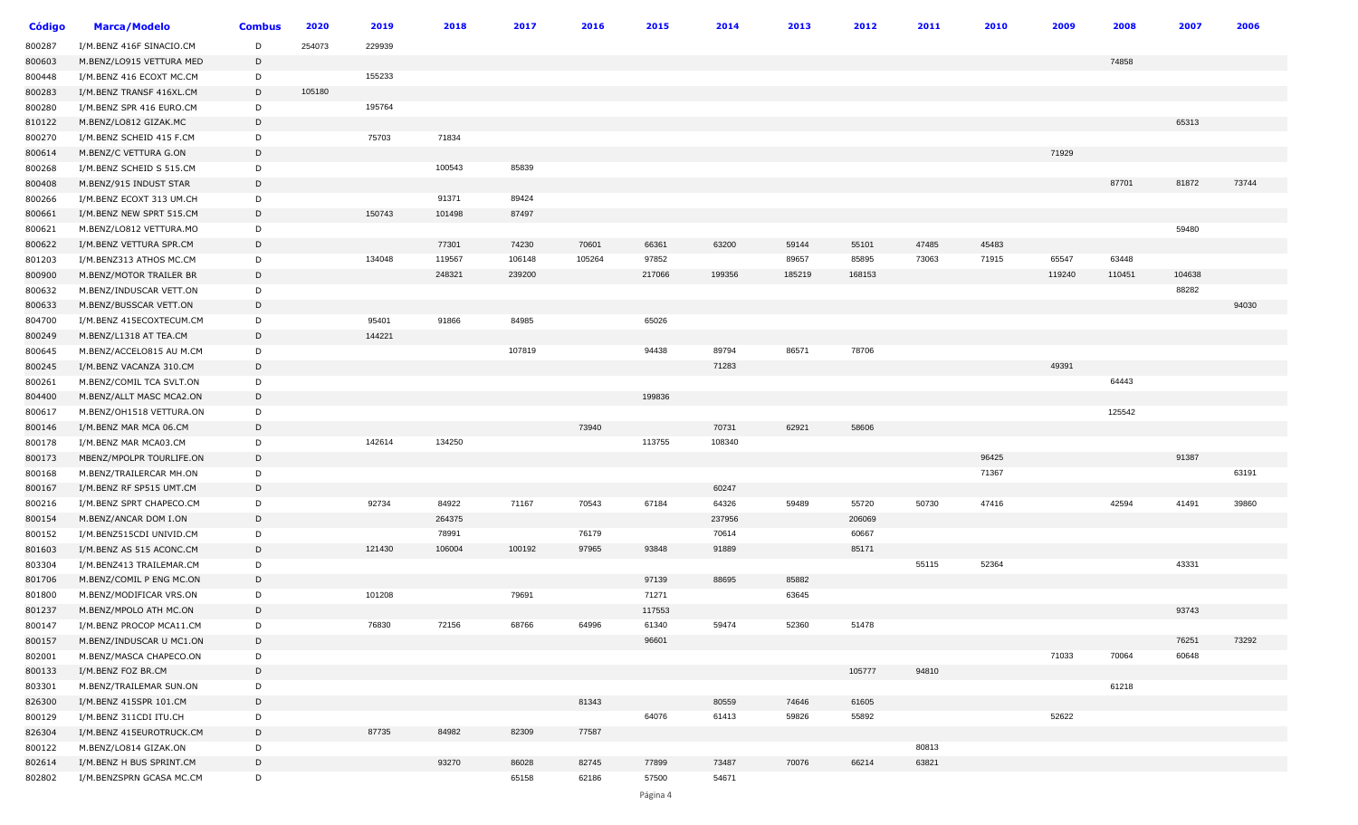| Código | <b>Marca/Modelo</b>      | <b>Combus</b> | 2020   | 2019   | 2018   | 2017   | 2016   | 2015   | 2014   | 2013   | 2012   | 2011  | 2010  | 2009   | 2008   | 2007   | 2006  |
|--------|--------------------------|---------------|--------|--------|--------|--------|--------|--------|--------|--------|--------|-------|-------|--------|--------|--------|-------|
| 800287 | I/M.BENZ 416F SINACIO.CM | D             | 254073 | 229939 |        |        |        |        |        |        |        |       |       |        |        |        |       |
| 800603 | M.BENZ/LO915 VETTURA MED | D             |        |        |        |        |        |        |        |        |        |       |       |        | 74858  |        |       |
| 800448 | I/M.BENZ 416 ECOXT MC.CM | D             |        | 155233 |        |        |        |        |        |        |        |       |       |        |        |        |       |
| 800283 | I/M.BENZ TRANSF 416XL.CM | D             | 105180 |        |        |        |        |        |        |        |        |       |       |        |        |        |       |
| 800280 | I/M.BENZ SPR 416 EURO.CM | D             |        | 195764 |        |        |        |        |        |        |        |       |       |        |        |        |       |
| 810122 | M.BENZ/LO812 GIZAK.MC    | D             |        |        |        |        |        |        |        |        |        |       |       |        |        | 65313  |       |
| 800270 | I/M.BENZ SCHEID 415 F.CM | D             |        | 75703  | 71834  |        |        |        |        |        |        |       |       |        |        |        |       |
| 800614 | M.BENZ/C VETTURA G.ON    | D             |        |        |        |        |        |        |        |        |        |       |       | 71929  |        |        |       |
| 800268 | I/M.BENZ SCHEID S 515.CM | D             |        |        | 100543 | 85839  |        |        |        |        |        |       |       |        |        |        |       |
| 800408 | M.BENZ/915 INDUST STAR   | D             |        |        |        |        |        |        |        |        |        |       |       |        | 87701  | 81872  | 73744 |
| 800266 | I/M.BENZ ECOXT 313 UM.CH | D             |        |        | 91371  | 89424  |        |        |        |        |        |       |       |        |        |        |       |
| 800661 | I/M.BENZ NEW SPRT 515.CM | D             |        | 150743 | 101498 | 87497  |        |        |        |        |        |       |       |        |        |        |       |
| 800621 | M.BENZ/LO812 VETTURA.MO  | D             |        |        |        |        |        |        |        |        |        |       |       |        |        | 59480  |       |
| 800622 | I/M.BENZ VETTURA SPR.CM  | D             |        |        | 77301  | 74230  | 70601  | 66361  | 63200  | 59144  | 55101  | 47485 | 45483 |        |        |        |       |
| 801203 | I/M.BENZ313 ATHOS MC.CM  | D             |        | 134048 | 119567 | 106148 | 105264 | 97852  |        | 89657  | 85895  | 73063 | 71915 | 65547  | 63448  |        |       |
| 800900 | M.BENZ/MOTOR TRAILER BR  | D             |        |        | 248321 | 239200 |        | 217066 | 199356 | 185219 | 168153 |       |       | 119240 | 110451 | 104638 |       |
| 800632 | M.BENZ/INDUSCAR VETT.ON  | D             |        |        |        |        |        |        |        |        |        |       |       |        |        | 88282  |       |
| 800633 | M.BENZ/BUSSCAR VETT.ON   | D             |        |        |        |        |        |        |        |        |        |       |       |        |        |        | 94030 |
| 804700 | I/M.BENZ 415ECOXTECUM.CM | D             |        | 95401  | 91866  | 84985  |        | 65026  |        |        |        |       |       |        |        |        |       |
| 800249 | M.BENZ/L1318 AT TEA.CM   | D             |        | 144221 |        |        |        |        |        |        |        |       |       |        |        |        |       |
| 800645 | M.BENZ/ACCELO815 AU M.CM | D             |        |        |        | 107819 |        | 94438  | 89794  | 86571  | 78706  |       |       |        |        |        |       |
| 800245 | I/M.BENZ VACANZA 310.CM  | D             |        |        |        |        |        |        | 71283  |        |        |       |       | 49391  |        |        |       |
| 800261 | M.BENZ/COMIL TCA SVLT.ON | D             |        |        |        |        |        |        |        |        |        |       |       |        | 64443  |        |       |
| 804400 | M.BENZ/ALLT MASC MCA2.ON | D             |        |        |        |        |        | 199836 |        |        |        |       |       |        |        |        |       |
| 800617 | M.BENZ/OH1518 VETTURA.ON | D             |        |        |        |        |        |        |        |        |        |       |       |        | 125542 |        |       |
| 800146 | I/M.BENZ MAR MCA 06.CM   | D             |        |        |        |        | 73940  |        | 70731  | 62921  | 58606  |       |       |        |        |        |       |
| 800178 | I/M.BENZ MAR MCA03.CM    | D             |        | 142614 | 134250 |        |        | 113755 | 108340 |        |        |       |       |        |        |        |       |
| 800173 | MBENZ/MPOLPR TOURLIFE.ON | D             |        |        |        |        |        |        |        |        |        |       | 96425 |        |        | 91387  |       |
| 800168 | M.BENZ/TRAILERCAR MH.ON  | D             |        |        |        |        |        |        |        |        |        |       | 71367 |        |        |        | 63191 |
| 800167 | I/M.BENZ RF SP515 UMT.CM | D             |        |        |        |        |        |        | 60247  |        |        |       |       |        |        |        |       |
| 800216 | I/M.BENZ SPRT CHAPECO.CM | D             |        | 92734  | 84922  | 71167  | 70543  | 67184  | 64326  | 59489  | 55720  | 50730 | 47416 |        | 42594  | 41491  | 39860 |
| 800154 | M.BENZ/ANCAR DOM I.ON    | D             |        |        | 264375 |        |        |        | 237956 |        | 206069 |       |       |        |        |        |       |
| 800152 | I/M.BENZ515CDI UNIVID.CM | D             |        |        | 78991  |        | 76179  |        | 70614  |        | 60667  |       |       |        |        |        |       |
| 801603 | I/M.BENZ AS 515 ACONC.CM | D             |        | 121430 | 106004 | 100192 | 97965  | 93848  | 91889  |        | 85171  |       |       |        |        |        |       |
| 803304 | I/M.BENZ413 TRAILEMAR.CM | D             |        |        |        |        |        |        |        |        |        | 55115 | 52364 |        |        | 43331  |       |
| 801706 | M.BENZ/COMIL P ENG MC.ON | D             |        |        |        |        |        | 97139  | 88695  | 85882  |        |       |       |        |        |        |       |
| 801800 | M.BENZ/MODIFICAR VRS.ON  | D             |        | 101208 |        | 79691  |        | 71271  |        | 63645  |        |       |       |        |        |        |       |
| 801237 | M.BENZ/MPOLO ATH MC.ON   | D             |        |        |        |        |        | 117553 |        |        |        |       |       |        |        | 93743  |       |
| 800147 | I/M.BENZ PROCOP MCA11.CM | D             |        | 76830  | 72156  | 68766  | 64996  | 61340  | 59474  | 52360  | 51478  |       |       |        |        |        |       |
| 800157 | M.BENZ/INDUSCAR U MC1.ON | D             |        |        |        |        |        | 96601  |        |        |        |       |       |        |        | 76251  | 73292 |
| 802001 | M.BENZ/MASCA CHAPECO.ON  | D             |        |        |        |        |        |        |        |        |        |       |       | 71033  | 70064  | 60648  |       |
| 800133 | I/M.BENZ FOZ BR.CM       | D             |        |        |        |        |        |        |        |        | 105777 | 94810 |       |        |        |        |       |
| 803301 | M.BENZ/TRAILEMAR SUN.ON  | D             |        |        |        |        |        |        |        |        |        |       |       |        | 61218  |        |       |
| 826300 | I/M.BENZ 415SPR 101.CM   | D             |        |        |        |        | 81343  |        | 80559  | 74646  | 61605  |       |       |        |        |        |       |
| 800129 | I/M.BENZ 311CDI ITU.CH   | D             |        |        |        |        |        | 64076  | 61413  | 59826  | 55892  |       |       | 52622  |        |        |       |
| 826304 | I/M.BENZ 415EUROTRUCK.CM | D             |        | 87735  | 84982  | 82309  | 77587  |        |        |        |        |       |       |        |        |        |       |
| 800122 | M.BENZ/LO814 GIZAK.ON    | D             |        |        |        |        |        |        |        |        |        | 80813 |       |        |        |        |       |
| 802614 | I/M.BENZ H BUS SPRINT.CM | D             |        |        | 93270  | 86028  | 82745  | 77899  | 73487  | 70076  | 66214  | 63821 |       |        |        |        |       |
| 802802 | I/M.BENZSPRN GCASA MC.CM | D             |        |        |        | 65158  | 62186  | 57500  | 54671  |        |        |       |       |        |        |        |       |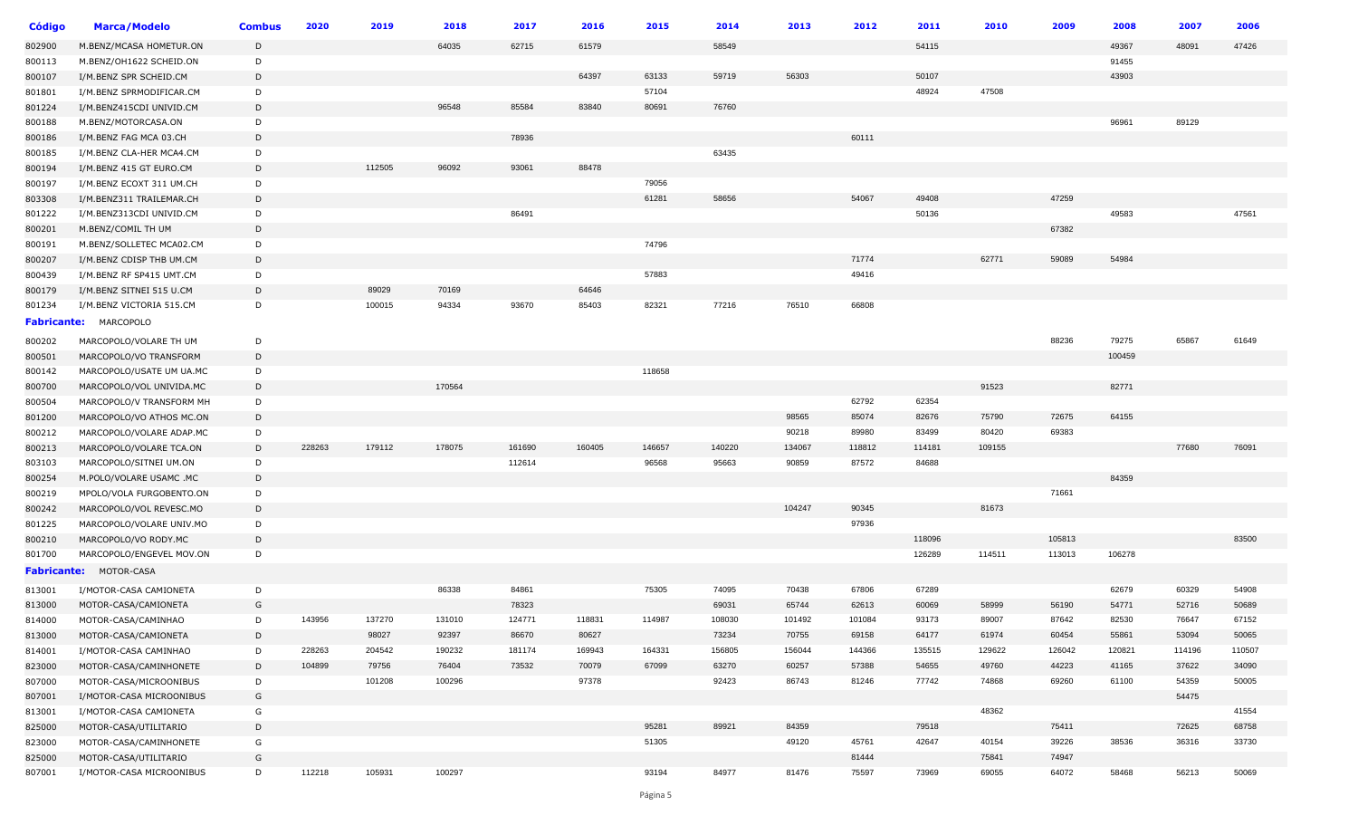| <b>Código</b>      | <b>Marca/Modelo</b>                                | <b>Combus</b> | 2020   | 2019   | 2018   | 2017   | 2016   | 2015   | 2014   | 2013   | 2012   | 2011   | 2010   | 2009   | 2008   | 2007   | 2006   |
|--------------------|----------------------------------------------------|---------------|--------|--------|--------|--------|--------|--------|--------|--------|--------|--------|--------|--------|--------|--------|--------|
| 802900             | M.BENZ/MCASA HOMETUR.ON                            | D             |        |        | 64035  | 62715  | 61579  |        | 58549  |        |        | 54115  |        |        | 49367  | 48091  | 47426  |
| 800113             | M.BENZ/OH1622 SCHEID.ON                            | D             |        |        |        |        |        |        |        |        |        |        |        |        | 91455  |        |        |
| 800107             | I/M.BENZ SPR SCHEID.CM                             | D             |        |        |        |        | 64397  | 63133  | 59719  | 56303  |        | 50107  |        |        | 43903  |        |        |
| 801801             | I/M.BENZ SPRMODIFICAR.CM                           | D             |        |        |        |        |        | 57104  |        |        |        | 48924  | 47508  |        |        |        |        |
| 801224             | I/M.BENZ415CDI UNIVID.CM                           | D             |        |        | 96548  | 85584  | 83840  | 80691  | 76760  |        |        |        |        |        |        |        |        |
| 800188             | M.BENZ/MOTORCASA.ON                                | D             |        |        |        |        |        |        |        |        |        |        |        |        | 96961  | 89129  |        |
| 800186             | I/M.BENZ FAG MCA 03.CH                             | D             |        |        |        | 78936  |        |        |        |        | 60111  |        |        |        |        |        |        |
| 800185             | I/M.BENZ CLA-HER MCA4.CM                           | D             |        |        |        |        |        |        | 63435  |        |        |        |        |        |        |        |        |
| 800194             | I/M.BENZ 415 GT EURO.CM                            | D             |        | 112505 | 96092  | 93061  | 88478  |        |        |        |        |        |        |        |        |        |        |
| 800197             | I/M.BENZ ECOXT 311 UM.CH                           | D             |        |        |        |        |        | 79056  |        |        |        |        |        |        |        |        |        |
| 803308             | I/M.BENZ311 TRAILEMAR.CH                           | D             |        |        |        |        |        | 61281  | 58656  |        | 54067  | 49408  |        | 47259  |        |        |        |
| 801222             | I/M.BENZ313CDI UNIVID.CM                           | D             |        |        |        | 86491  |        |        |        |        |        | 50136  |        |        | 49583  |        | 47561  |
| 800201             | M.BENZ/COMIL TH UM                                 | D             |        |        |        |        |        |        |        |        |        |        |        | 67382  |        |        |        |
| 800191             | M.BENZ/SOLLETEC MCA02.CM                           | D             |        |        |        |        |        | 74796  |        |        |        |        |        |        |        |        |        |
| 800207             | I/M.BENZ CDISP THB UM.CM                           | D             |        |        |        |        |        |        |        |        | 71774  |        | 62771  | 59089  | 54984  |        |        |
| 800439             | I/M.BENZ RF SP415 UMT.CM                           | D             |        |        |        |        |        | 57883  |        |        | 49416  |        |        |        |        |        |        |
| 800179             | I/M.BENZ SITNEI 515 U.CM                           | D             |        | 89029  | 70169  |        | 64646  |        |        |        |        |        |        |        |        |        |        |
| 801234             | I/M.BENZ VICTORIA 515.CM                           | D             |        | 100015 | 94334  | 93670  | 85403  | 82321  | 77216  | 76510  | 66808  |        |        |        |        |        |        |
| <b>Fabricante:</b> | MARCOPOLO                                          |               |        |        |        |        |        |        |        |        |        |        |        |        |        |        |        |
| 800202             | MARCOPOLO/VOLARE TH UM                             | D             |        |        |        |        |        |        |        |        |        |        |        | 88236  | 79275  | 65867  | 61649  |
| 800501             | MARCOPOLO/VO TRANSFORM                             | D             |        |        |        |        |        |        |        |        |        |        |        |        | 100459 |        |        |
| 800142             | MARCOPOLO/USATE UM UA.MC                           | D             |        |        |        |        |        | 118658 |        |        |        |        |        |        |        |        |        |
| 800700             | MARCOPOLO/VOL UNIVIDA.MC                           | D             |        |        | 170564 |        |        |        |        |        |        |        | 91523  |        | 82771  |        |        |
| 800504             | MARCOPOLO/V TRANSFORM MH                           | D             |        |        |        |        |        |        |        |        | 62792  | 62354  |        |        |        |        |        |
| 801200             | MARCOPOLO/VO ATHOS MC.ON                           | D             |        |        |        |        |        |        |        | 98565  | 85074  | 82676  | 75790  | 72675  | 64155  |        |        |
| 800212             | MARCOPOLO/VOLARE ADAP.MC                           | D             |        |        |        |        |        |        |        | 90218  | 89980  | 83499  | 80420  | 69383  |        |        |        |
| 800213             | MARCOPOLO/VOLARE TCA.ON                            | D             | 228263 | 179112 | 178075 | 161690 | 160405 | 146657 | 140220 | 134067 | 118812 | 114181 | 109155 |        |        | 77680  | 76091  |
| 803103             | MARCOPOLO/SITNEI UM.ON                             | D             |        |        |        | 112614 |        | 96568  | 95663  | 90859  | 87572  | 84688  |        |        |        |        |        |
| 800254             | M.POLO/VOLARE USAMC .MC                            | D             |        |        |        |        |        |        |        |        |        |        |        |        | 84359  |        |        |
| 800219             | MPOLO/VOLA FURGOBENTO.ON                           | D             |        |        |        |        |        |        |        |        |        |        |        | 71661  |        |        |        |
| 800242             | MARCOPOLO/VOL REVESC.MO                            | D             |        |        |        |        |        |        |        | 104247 | 90345  |        | 81673  |        |        |        |        |
| 801225             | MARCOPOLO/VOLARE UNIV.MO                           | D             |        |        |        |        |        |        |        |        | 97936  |        |        |        |        |        |        |
| 800210             | MARCOPOLO/VO RODY.MC                               | D             |        |        |        |        |        |        |        |        |        | 118096 |        | 105813 |        |        | 83500  |
| 801700             | MARCOPOLO/ENGEVEL MOV.ON                           | D             |        |        |        |        |        |        |        |        |        | 126289 | 114511 | 113013 | 106278 |        |        |
|                    | Fabricante: MOTOR-CASA                             |               |        |        |        |        |        |        |        |        |        |        |        |        |        |        |        |
| 813001             | I/MOTOR-CASA CAMIONETA                             | D             |        |        | 86338  | 84861  |        | 75305  | 74095  | 70438  | 67806  | 67289  |        |        | 62679  | 60329  | 54908  |
| 813000             | MOTOR-CASA/CAMIONETA                               | G             |        |        |        | 78323  |        |        | 69031  | 65744  | 62613  | 60069  | 58999  | 56190  | 54771  | 52716  | 50689  |
| 814000             | MOTOR-CASA/CAMINHAO                                | D             | 143956 | 137270 | 131010 | 124771 | 118831 | 114987 | 108030 | 101492 | 101084 | 93173  | 89007  | 87642  | 82530  | 76647  | 67152  |
| 813000             | MOTOR-CASA/CAMIONETA                               | D             |        | 98027  | 92397  | 86670  | 80627  |        | 73234  | 70755  | 69158  | 64177  | 61974  | 60454  | 55861  | 53094  | 50065  |
|                    | I/MOTOR-CASA CAMINHAO                              | D             | 228263 | 204542 | 190232 | 181174 | 169943 | 164331 | 156805 | 156044 | 144366 | 135515 | 129622 | 126042 | 120821 | 114196 | 110507 |
| 814001<br>823000   | MOTOR-CASA/CAMINHONETE                             | D             | 104899 | 79756  | 76404  | 73532  | 70079  | 67099  | 63270  | 60257  | 57388  | 54655  | 49760  | 44223  | 41165  | 37622  | 34090  |
|                    |                                                    | D             |        | 101208 | 100296 |        | 97378  |        | 92423  | 86743  | 81246  | 77742  | 74868  | 69260  | 61100  | 54359  | 50005  |
| 807000             | MOTOR-CASA/MICROONIBUS                             | G             |        |        |        |        |        |        |        |        |        |        |        |        |        | 54475  |        |
| 807001             | I/MOTOR-CASA MICROONIBUS<br>I/MOTOR-CASA CAMIONETA | G             |        |        |        |        |        |        |        |        |        |        | 48362  |        |        |        | 41554  |
| 813001<br>825000   | MOTOR-CASA/UTILITARIO                              | D             |        |        |        |        |        | 95281  | 89921  | 84359  |        | 79518  |        | 75411  |        | 72625  | 68758  |
| 823000             | MOTOR-CASA/CAMINHONETE                             | G             |        |        |        |        |        | 51305  |        | 49120  | 45761  | 42647  | 40154  | 39226  | 38536  | 36316  | 33730  |
| 825000             | MOTOR-CASA/UTILITARIO                              | G             |        |        |        |        |        |        |        |        | 81444  |        | 75841  | 74947  |        |        |        |
| 807001             | I/MOTOR-CASA MICROONIBUS                           | D             | 112218 | 105931 | 100297 |        |        | 93194  | 84977  | 81476  | 75597  | 73969  | 69055  | 64072  | 58468  | 56213  | 50069  |
|                    |                                                    |               |        |        |        |        |        |        |        |        |        |        |        |        |        |        |        |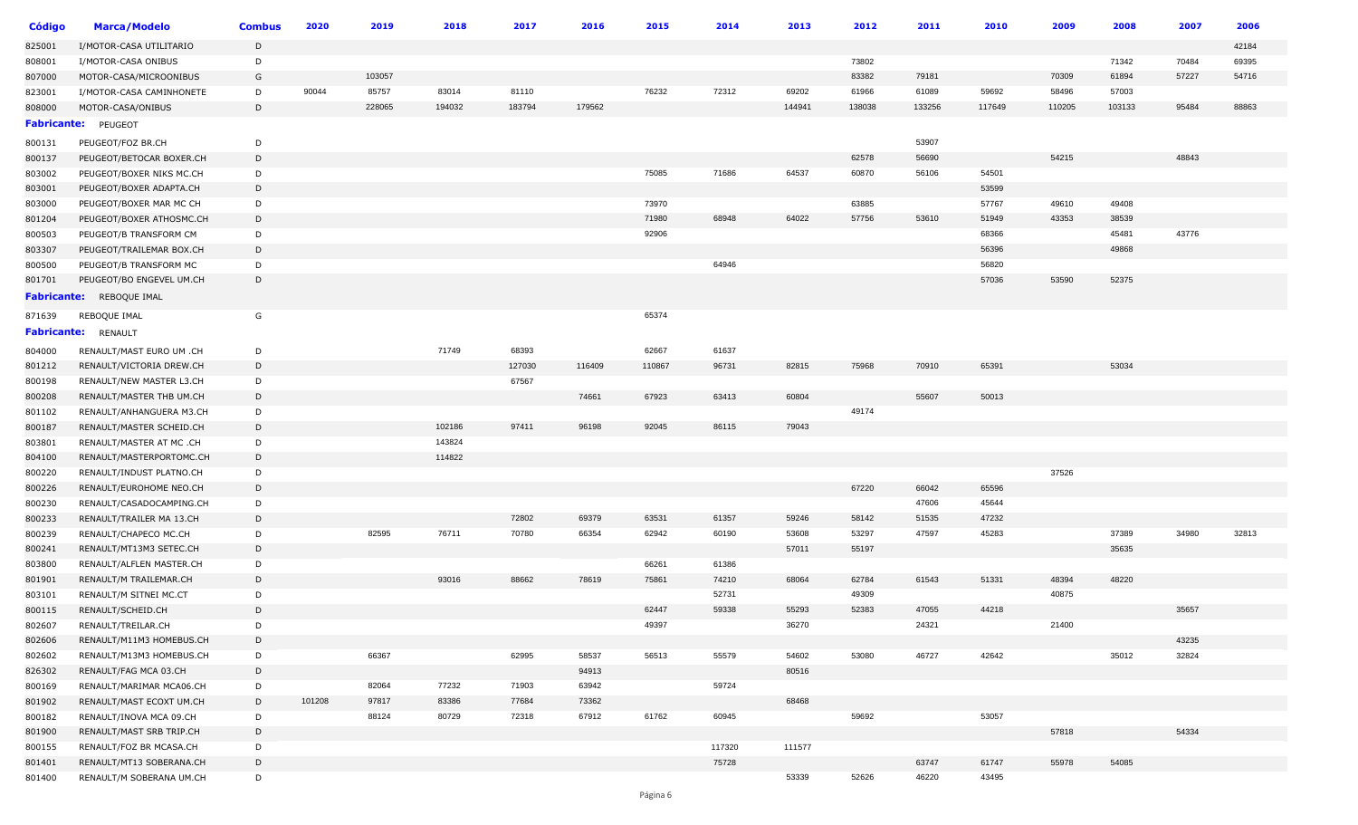| <b>Código</b>      | <b>Marca/Modelo</b>             | <b>Combus</b> | 2020   | 2019   | 2018   | 2017   | 2016   | 2015   | 2014   | 2013   | 2012   | 2011   | 2010   | 2009   | 2008   | 2007  | 2006  |
|--------------------|---------------------------------|---------------|--------|--------|--------|--------|--------|--------|--------|--------|--------|--------|--------|--------|--------|-------|-------|
| 825001             | I/MOTOR-CASA UTILITARIO         | D             |        |        |        |        |        |        |        |        |        |        |        |        |        |       | 42184 |
| 808001             | I/MOTOR-CASA ONIBUS             | D             |        |        |        |        |        |        |        |        | 73802  |        |        |        | 71342  | 70484 | 69395 |
| 807000             | MOTOR-CASA/MICROONIBUS          | G             |        | 103057 |        |        |        |        |        |        | 83382  | 79181  |        | 70309  | 61894  | 57227 | 54716 |
| 823001             | I/MOTOR-CASA CAMINHONETE        | D             | 90044  | 85757  | 83014  | 81110  |        | 76232  | 72312  | 69202  | 61966  | 61089  | 59692  | 58496  | 57003  |       |       |
| 808000             | MOTOR-CASA/ONIBUS               | D             |        | 228065 | 194032 | 183794 | 179562 |        |        | 144941 | 138038 | 133256 | 117649 | 110205 | 103133 | 95484 | 88863 |
| <b>Fabricante:</b> | PEUGEOT                         |               |        |        |        |        |        |        |        |        |        |        |        |        |        |       |       |
| 800131             | PEUGEOT/FOZ BR.CH               | D             |        |        |        |        |        |        |        |        |        | 53907  |        |        |        |       |       |
| 800137             | PEUGEOT/BETOCAR BOXER.CH        | D             |        |        |        |        |        |        |        |        | 62578  | 56690  |        | 54215  |        | 48843 |       |
| 803002             | PEUGEOT/BOXER NIKS MC.CH        | D             |        |        |        |        |        | 75085  | 71686  | 64537  | 60870  | 56106  | 54501  |        |        |       |       |
| 803001             | PEUGEOT/BOXER ADAPTA.CH         | D             |        |        |        |        |        |        |        |        |        |        | 53599  |        |        |       |       |
| 803000             | PEUGEOT/BOXER MAR MC CH         | D             |        |        |        |        |        | 73970  |        |        | 63885  |        | 57767  | 49610  | 49408  |       |       |
| 801204             | PEUGEOT/BOXER ATHOSMC.CH        | D             |        |        |        |        |        | 71980  | 68948  | 64022  | 57756  | 53610  | 51949  | 43353  | 38539  |       |       |
| 800503             | PEUGEOT/B TRANSFORM CM          | D             |        |        |        |        |        | 92906  |        |        |        |        | 68366  |        | 45481  | 43776 |       |
| 803307             | PEUGEOT/TRAILEMAR BOX.CH        | D             |        |        |        |        |        |        |        |        |        |        | 56396  |        | 49868  |       |       |
| 800500             | PEUGEOT/B TRANSFORM MC          | D             |        |        |        |        |        |        | 64946  |        |        |        | 56820  |        |        |       |       |
| 801701             | PEUGEOT/BO ENGEVEL UM.CH        | D             |        |        |        |        |        |        |        |        |        |        | 57036  | 53590  | 52375  |       |       |
|                    | <b>Fabricante:</b> REBOQUE IMAL |               |        |        |        |        |        |        |        |        |        |        |        |        |        |       |       |
| 871639             | REBOQUE IMAL                    | G             |        |        |        |        |        | 65374  |        |        |        |        |        |        |        |       |       |
| <b>Fabricante:</b> | RENAULT                         |               |        |        |        |        |        |        |        |        |        |        |        |        |        |       |       |
| 804000             | RENAULT/MAST EURO UM .CH        | D             |        |        | 71749  | 68393  |        | 62667  | 61637  |        |        |        |        |        |        |       |       |
| 801212             | RENAULT/VICTORIA DREW.CH        | D             |        |        |        | 127030 | 116409 | 110867 | 96731  | 82815  | 75968  | 70910  | 65391  |        | 53034  |       |       |
| 800198             | RENAULT/NEW MASTER L3.CH        | D             |        |        |        | 67567  |        |        |        |        |        |        |        |        |        |       |       |
| 800208             | RENAULT/MASTER THB UM.CH        | D             |        |        |        |        | 74661  | 67923  | 63413  | 60804  |        | 55607  | 50013  |        |        |       |       |
| 801102             | RENAULT/ANHANGUERA M3.CH        | D             |        |        |        |        |        |        |        |        | 49174  |        |        |        |        |       |       |
| 800187             | RENAULT/MASTER SCHEID.CH        | D             |        |        | 102186 | 97411  | 96198  | 92045  | 86115  | 79043  |        |        |        |        |        |       |       |
| 803801             | RENAULT/MASTER AT MC .CH        | D             |        |        | 143824 |        |        |        |        |        |        |        |        |        |        |       |       |
| 804100             | RENAULT/MASTERPORTOMC.CH        | D             |        |        | 114822 |        |        |        |        |        |        |        |        |        |        |       |       |
| 800220             | RENAULT/INDUST PLATNO.CH        | D             |        |        |        |        |        |        |        |        |        |        |        | 37526  |        |       |       |
| 800226             | RENAULT/EUROHOME NEO.CH         | D             |        |        |        |        |        |        |        |        | 67220  | 66042  | 65596  |        |        |       |       |
| 800230             | RENAULT/CASADOCAMPING.CH        | D             |        |        |        |        |        |        |        |        |        | 47606  | 45644  |        |        |       |       |
| 800233             | RENAULT/TRAILER MA 13.CH        | D             |        |        |        | 72802  | 69379  | 63531  | 61357  | 59246  | 58142  | 51535  | 47232  |        |        |       |       |
| 800239             | RENAULT/CHAPECO MC.CH           | D             |        | 82595  | 76711  | 70780  | 66354  | 62942  | 60190  | 53608  | 53297  | 47597  | 45283  |        | 37389  | 34980 | 32813 |
| 800241             | RENAULT/MT13M3 SETEC.CH         | D             |        |        |        |        |        |        |        | 57011  | 55197  |        |        |        | 35635  |       |       |
| 803800             | RENAULT/ALFLEN MASTER.CH        | D             |        |        |        |        |        | 66261  | 61386  |        |        |        |        |        |        |       |       |
| 801901             | RENAULT/M TRAILEMAR.CH          | D             |        |        | 93016  | 88662  | 78619  | 75861  | 74210  | 68064  | 62784  | 61543  | 51331  | 48394  | 48220  |       |       |
| 803101             | RENAULT/M SITNEI MC.CT          | D             |        |        |        |        |        |        | 52731  |        | 49309  |        |        | 40875  |        |       |       |
| 800115             | RENAULT/SCHEID.CH               | D             |        |        |        |        |        | 62447  | 59338  | 55293  | 52383  | 47055  | 44218  |        |        | 35657 |       |
| 802607             | RENAULT/TREILAR.CH              | D             |        |        |        |        |        | 49397  |        | 36270  |        | 24321  |        | 21400  |        |       |       |
| 802606             | RENAULT/M11M3 HOMEBUS.CH        | D             |        |        |        |        |        |        |        |        |        |        |        |        |        | 43235 |       |
| 802602             | RENAULT/M13M3 HOMEBUS.CH        | D             |        | 66367  |        | 62995  | 58537  | 56513  | 55579  | 54602  | 53080  | 46727  | 42642  |        | 35012  | 32824 |       |
| 826302             | RENAULT/FAG MCA 03.CH           | D             |        |        |        |        | 94913  |        |        | 80516  |        |        |        |        |        |       |       |
| 800169             | RENAULT/MARIMAR MCA06.CH        | D             |        | 82064  | 77232  | 71903  | 63942  |        | 59724  |        |        |        |        |        |        |       |       |
| 801902             | RENAULT/MAST ECOXT UM.CH        | D             | 101208 | 97817  | 83386  | 77684  | 73362  |        |        | 68468  |        |        |        |        |        |       |       |
| 800182             | RENAULT/INOVA MCA 09.CH         | D             |        | 88124  | 80729  | 72318  | 67912  | 61762  | 60945  |        | 59692  |        | 53057  |        |        |       |       |
| 801900             | RENAULT/MAST SRB TRIP.CH        | D             |        |        |        |        |        |        |        |        |        |        |        | 57818  |        | 54334 |       |
| 800155             | RENAULT/FOZ BR MCASA.CH         | D             |        |        |        |        |        |        | 117320 | 111577 |        |        |        |        |        |       |       |
| 801401             | RENAULT/MT13 SOBERANA.CH        | D             |        |        |        |        |        |        | 75728  |        |        | 63747  | 61747  | 55978  | 54085  |       |       |
| 801400             | RENAULT/M SOBERANA UM.CH        | D             |        |        |        |        |        |        |        | 53339  | 52626  | 46220  | 43495  |        |        |       |       |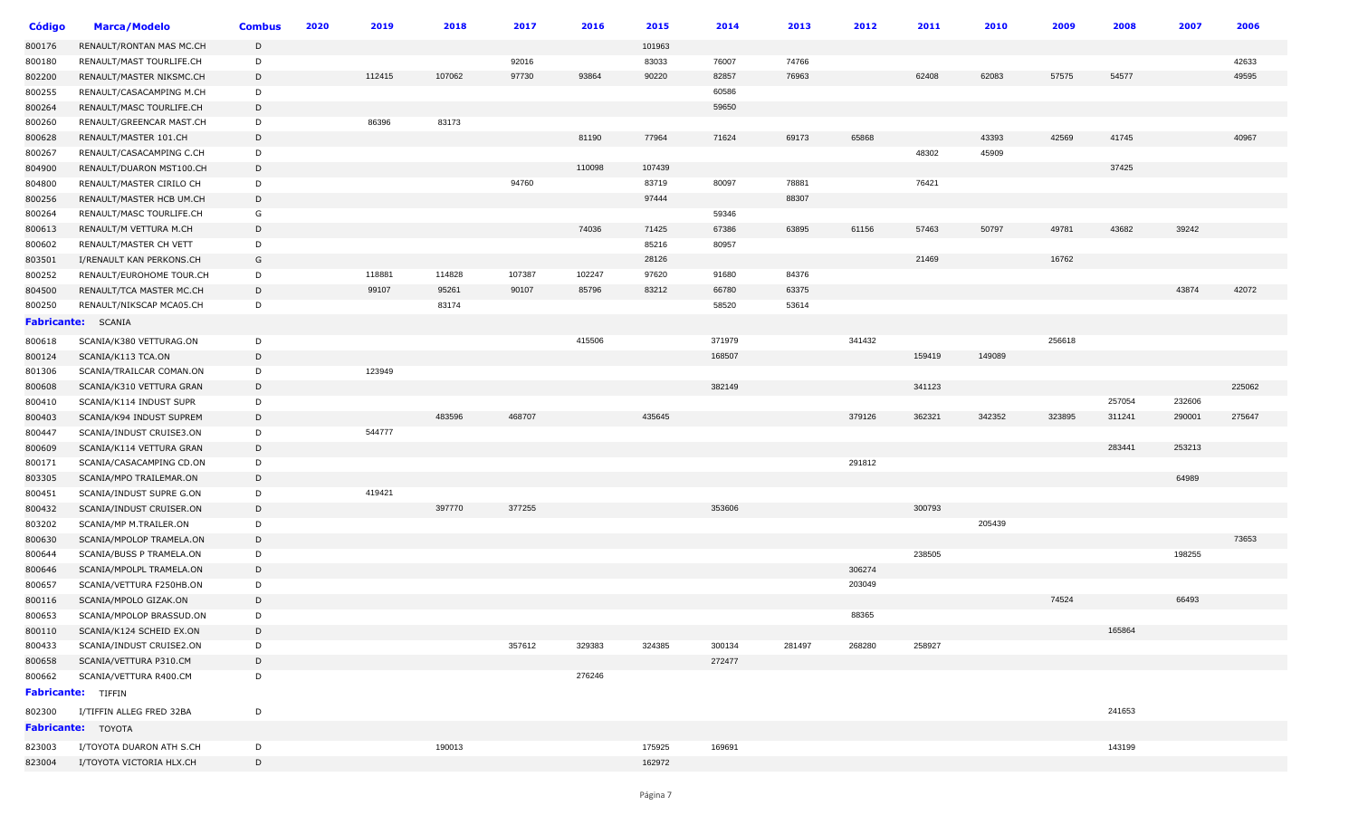| 101963<br>RENAULT/RONTAN MAS MC.CH<br>D<br>92016<br>83033<br>76007<br>74766<br>42633<br>RENAULT/MAST TOURLIFE.CH<br>D<br>97730<br>93864<br>90220<br>82857<br>62408<br>RENAULT/MASTER NIKSMC.CH<br>D<br>112415<br>107062<br>76963<br>62083<br>57575<br>54577<br>49595<br>60586<br>D<br>RENAULT/CASACAMPING M.CH<br>59650<br>D<br>RENAULT/MASC TOURLIFE.CH<br>83173<br>86396<br>D<br>RENAULT/GREENCAR MAST.CH<br>81190<br>77964<br>71624<br>69173<br>65868<br>43393<br>42569<br>41745<br>D<br>40967<br>RENAULT/MASTER 101.CH<br>48302<br>45909<br>RENAULT/CASACAMPING C.CH<br>D<br>110098<br>107439<br>37425<br>D<br>RENAULT/DUARON MST100.CH<br>83719<br>76421<br>94760<br>80097<br>78881<br>RENAULT/MASTER CIRILO CH<br>D<br>97444<br>88307<br>D<br>RENAULT/MASTER HCB UM.CH<br>G<br>59346<br>RENAULT/MASC TOURLIFE.CH<br>74036<br>67386<br>49781<br>D<br>71425<br>63895<br>61156<br>57463<br>50797<br>43682<br>39242<br>RENAULT/M VETTURA M.CH<br>85216<br>80957<br>RENAULT/MASTER CH VETT<br>D<br>28126<br>21469<br>16762<br>G<br>I/RENAULT KAN PERKONS.CH<br>107387<br>97620<br>84376<br>D<br>118881<br>114828<br>102247<br>91680<br>RENAULT/EUROHOME TOUR.CH<br>95261<br>83212<br>66780<br>63375<br>43874<br>42072<br>D<br>99107<br>90107<br>85796<br>RENAULT/TCA MASTER MC.CH<br>83174<br>58520<br>53614<br>D<br>RENAULT/NIKSCAP MCA05.CH<br><b>Fabricante:</b> SCANIA<br>256618<br>415506<br>371979<br>341432<br>SCANIA/K380 VETTURAG.ON<br>D<br>168507<br>159419<br>149089<br>SCANIA/K113 TCA.ON<br>D<br>123949<br>SCANIA/TRAILCAR COMAN.ON<br>D<br>382149<br>341123<br>225062<br>D<br>SCANIA/K310 VETTURA GRAN<br>232606<br>257054<br>SCANIA/K114 INDUST SUPR<br>D<br>483596<br>468707<br>435645<br>379126<br>362321<br>342352<br>323895<br>311241<br>290001<br>275647<br>SCANIA/K94 INDUST SUPREM<br>D<br>544777<br>D<br>SCANIA/INDUST CRUISE3.ON<br>283441<br>253213<br>D<br>SCANIA/K114 VETTURA GRAN<br>291812<br>SCANIA/CASACAMPING CD.ON<br>D<br>64989<br>D<br>SCANIA/MPO TRAILEMAR.ON<br>419421<br>D<br>SCANIA/INDUST SUPRE G.ON<br>397770<br>377255<br>353606<br>300793<br>D<br>SCANIA/INDUST CRUISER.ON<br>205439<br>SCANIA/MP M.TRAILER.ON<br>D<br>73653<br>D<br>SCANIA/MPOLOP TRAMELA.ON<br>238505<br>198255<br>D<br>SCANIA/BUSS P TRAMELA.ON<br>306274<br>D<br>SCANIA/MPOLPL TRAMELA.ON<br>203049<br>SCANIA/VETTURA F250HB.ON<br>D<br>74524<br>66493<br>D<br>SCANIA/MPOLO GIZAK.ON<br>88365<br>SCANIA/MPOLOP BRASSUD.ON<br>D<br>SCANIA/K124 SCHEID EX.ON<br>D<br>165864<br>SCANIA/INDUST CRUISE2.ON<br>357612<br>329383<br>324385<br>300134<br>268280<br>258927<br>D<br>281497<br>SCANIA/VETTURA P310.CM<br>272477<br>D<br>276246<br>SCANIA/VETTURA R400.CM<br>D<br><b>Fabricante:</b> TIFFIN<br>241653<br>I/TIFFIN ALLEG FRED 32BA<br>D<br><b>Fabricante:</b> TOYOTA<br>I/TOYOTA DUARON ATH S.CH<br>190013<br>175925<br>169691<br>143199<br>D<br>162972<br>I/TOYOTA VICTORIA HLX.CH<br>D | Código | <b>Marca/Modelo</b> | <b>Combus</b> | 2020 | 2019 | 2018 | 2017 | 2016 | 2015 | 2014 | 2013 | 2012 | 2011 | 2010 | 2009 | 2008 | 2007 | 2006 |
|--------------------------------------------------------------------------------------------------------------------------------------------------------------------------------------------------------------------------------------------------------------------------------------------------------------------------------------------------------------------------------------------------------------------------------------------------------------------------------------------------------------------------------------------------------------------------------------------------------------------------------------------------------------------------------------------------------------------------------------------------------------------------------------------------------------------------------------------------------------------------------------------------------------------------------------------------------------------------------------------------------------------------------------------------------------------------------------------------------------------------------------------------------------------------------------------------------------------------------------------------------------------------------------------------------------------------------------------------------------------------------------------------------------------------------------------------------------------------------------------------------------------------------------------------------------------------------------------------------------------------------------------------------------------------------------------------------------------------------------------------------------------------------------------------------------------------------------------------------------------------------------------------------------------------------------------------------------------------------------------------------------------------------------------------------------------------------------------------------------------------------------------------------------------------------------------------------------------------------------------------------------------------------------------------------------------------------------------------------------------------------------------------------------------------------------------------------------------------------------------------------------------------------------------------------------------------------------------------------------------------------------------------------------------------------------------------------------------------------------------------------------------------------------------------------------------------------------------------------------------------------------------------------------|--------|---------------------|---------------|------|------|------|------|------|------|------|------|------|------|------|------|------|------|------|
|                                                                                                                                                                                                                                                                                                                                                                                                                                                                                                                                                                                                                                                                                                                                                                                                                                                                                                                                                                                                                                                                                                                                                                                                                                                                                                                                                                                                                                                                                                                                                                                                                                                                                                                                                                                                                                                                                                                                                                                                                                                                                                                                                                                                                                                                                                                                                                                                                                                                                                                                                                                                                                                                                                                                                                                                                                                                                                              | 800176 |                     |               |      |      |      |      |      |      |      |      |      |      |      |      |      |      |      |
|                                                                                                                                                                                                                                                                                                                                                                                                                                                                                                                                                                                                                                                                                                                                                                                                                                                                                                                                                                                                                                                                                                                                                                                                                                                                                                                                                                                                                                                                                                                                                                                                                                                                                                                                                                                                                                                                                                                                                                                                                                                                                                                                                                                                                                                                                                                                                                                                                                                                                                                                                                                                                                                                                                                                                                                                                                                                                                              | 800180 |                     |               |      |      |      |      |      |      |      |      |      |      |      |      |      |      |      |
|                                                                                                                                                                                                                                                                                                                                                                                                                                                                                                                                                                                                                                                                                                                                                                                                                                                                                                                                                                                                                                                                                                                                                                                                                                                                                                                                                                                                                                                                                                                                                                                                                                                                                                                                                                                                                                                                                                                                                                                                                                                                                                                                                                                                                                                                                                                                                                                                                                                                                                                                                                                                                                                                                                                                                                                                                                                                                                              | 802200 |                     |               |      |      |      |      |      |      |      |      |      |      |      |      |      |      |      |
|                                                                                                                                                                                                                                                                                                                                                                                                                                                                                                                                                                                                                                                                                                                                                                                                                                                                                                                                                                                                                                                                                                                                                                                                                                                                                                                                                                                                                                                                                                                                                                                                                                                                                                                                                                                                                                                                                                                                                                                                                                                                                                                                                                                                                                                                                                                                                                                                                                                                                                                                                                                                                                                                                                                                                                                                                                                                                                              | 800255 |                     |               |      |      |      |      |      |      |      |      |      |      |      |      |      |      |      |
|                                                                                                                                                                                                                                                                                                                                                                                                                                                                                                                                                                                                                                                                                                                                                                                                                                                                                                                                                                                                                                                                                                                                                                                                                                                                                                                                                                                                                                                                                                                                                                                                                                                                                                                                                                                                                                                                                                                                                                                                                                                                                                                                                                                                                                                                                                                                                                                                                                                                                                                                                                                                                                                                                                                                                                                                                                                                                                              | 800264 |                     |               |      |      |      |      |      |      |      |      |      |      |      |      |      |      |      |
|                                                                                                                                                                                                                                                                                                                                                                                                                                                                                                                                                                                                                                                                                                                                                                                                                                                                                                                                                                                                                                                                                                                                                                                                                                                                                                                                                                                                                                                                                                                                                                                                                                                                                                                                                                                                                                                                                                                                                                                                                                                                                                                                                                                                                                                                                                                                                                                                                                                                                                                                                                                                                                                                                                                                                                                                                                                                                                              | 800260 |                     |               |      |      |      |      |      |      |      |      |      |      |      |      |      |      |      |
|                                                                                                                                                                                                                                                                                                                                                                                                                                                                                                                                                                                                                                                                                                                                                                                                                                                                                                                                                                                                                                                                                                                                                                                                                                                                                                                                                                                                                                                                                                                                                                                                                                                                                                                                                                                                                                                                                                                                                                                                                                                                                                                                                                                                                                                                                                                                                                                                                                                                                                                                                                                                                                                                                                                                                                                                                                                                                                              | 800628 |                     |               |      |      |      |      |      |      |      |      |      |      |      |      |      |      |      |
|                                                                                                                                                                                                                                                                                                                                                                                                                                                                                                                                                                                                                                                                                                                                                                                                                                                                                                                                                                                                                                                                                                                                                                                                                                                                                                                                                                                                                                                                                                                                                                                                                                                                                                                                                                                                                                                                                                                                                                                                                                                                                                                                                                                                                                                                                                                                                                                                                                                                                                                                                                                                                                                                                                                                                                                                                                                                                                              | 800267 |                     |               |      |      |      |      |      |      |      |      |      |      |      |      |      |      |      |
|                                                                                                                                                                                                                                                                                                                                                                                                                                                                                                                                                                                                                                                                                                                                                                                                                                                                                                                                                                                                                                                                                                                                                                                                                                                                                                                                                                                                                                                                                                                                                                                                                                                                                                                                                                                                                                                                                                                                                                                                                                                                                                                                                                                                                                                                                                                                                                                                                                                                                                                                                                                                                                                                                                                                                                                                                                                                                                              | 804900 |                     |               |      |      |      |      |      |      |      |      |      |      |      |      |      |      |      |
|                                                                                                                                                                                                                                                                                                                                                                                                                                                                                                                                                                                                                                                                                                                                                                                                                                                                                                                                                                                                                                                                                                                                                                                                                                                                                                                                                                                                                                                                                                                                                                                                                                                                                                                                                                                                                                                                                                                                                                                                                                                                                                                                                                                                                                                                                                                                                                                                                                                                                                                                                                                                                                                                                                                                                                                                                                                                                                              | 804800 |                     |               |      |      |      |      |      |      |      |      |      |      |      |      |      |      |      |
|                                                                                                                                                                                                                                                                                                                                                                                                                                                                                                                                                                                                                                                                                                                                                                                                                                                                                                                                                                                                                                                                                                                                                                                                                                                                                                                                                                                                                                                                                                                                                                                                                                                                                                                                                                                                                                                                                                                                                                                                                                                                                                                                                                                                                                                                                                                                                                                                                                                                                                                                                                                                                                                                                                                                                                                                                                                                                                              | 800256 |                     |               |      |      |      |      |      |      |      |      |      |      |      |      |      |      |      |
|                                                                                                                                                                                                                                                                                                                                                                                                                                                                                                                                                                                                                                                                                                                                                                                                                                                                                                                                                                                                                                                                                                                                                                                                                                                                                                                                                                                                                                                                                                                                                                                                                                                                                                                                                                                                                                                                                                                                                                                                                                                                                                                                                                                                                                                                                                                                                                                                                                                                                                                                                                                                                                                                                                                                                                                                                                                                                                              | 800264 |                     |               |      |      |      |      |      |      |      |      |      |      |      |      |      |      |      |
|                                                                                                                                                                                                                                                                                                                                                                                                                                                                                                                                                                                                                                                                                                                                                                                                                                                                                                                                                                                                                                                                                                                                                                                                                                                                                                                                                                                                                                                                                                                                                                                                                                                                                                                                                                                                                                                                                                                                                                                                                                                                                                                                                                                                                                                                                                                                                                                                                                                                                                                                                                                                                                                                                                                                                                                                                                                                                                              | 800613 |                     |               |      |      |      |      |      |      |      |      |      |      |      |      |      |      |      |
|                                                                                                                                                                                                                                                                                                                                                                                                                                                                                                                                                                                                                                                                                                                                                                                                                                                                                                                                                                                                                                                                                                                                                                                                                                                                                                                                                                                                                                                                                                                                                                                                                                                                                                                                                                                                                                                                                                                                                                                                                                                                                                                                                                                                                                                                                                                                                                                                                                                                                                                                                                                                                                                                                                                                                                                                                                                                                                              | 800602 |                     |               |      |      |      |      |      |      |      |      |      |      |      |      |      |      |      |
|                                                                                                                                                                                                                                                                                                                                                                                                                                                                                                                                                                                                                                                                                                                                                                                                                                                                                                                                                                                                                                                                                                                                                                                                                                                                                                                                                                                                                                                                                                                                                                                                                                                                                                                                                                                                                                                                                                                                                                                                                                                                                                                                                                                                                                                                                                                                                                                                                                                                                                                                                                                                                                                                                                                                                                                                                                                                                                              | 803501 |                     |               |      |      |      |      |      |      |      |      |      |      |      |      |      |      |      |
|                                                                                                                                                                                                                                                                                                                                                                                                                                                                                                                                                                                                                                                                                                                                                                                                                                                                                                                                                                                                                                                                                                                                                                                                                                                                                                                                                                                                                                                                                                                                                                                                                                                                                                                                                                                                                                                                                                                                                                                                                                                                                                                                                                                                                                                                                                                                                                                                                                                                                                                                                                                                                                                                                                                                                                                                                                                                                                              | 800252 |                     |               |      |      |      |      |      |      |      |      |      |      |      |      |      |      |      |
|                                                                                                                                                                                                                                                                                                                                                                                                                                                                                                                                                                                                                                                                                                                                                                                                                                                                                                                                                                                                                                                                                                                                                                                                                                                                                                                                                                                                                                                                                                                                                                                                                                                                                                                                                                                                                                                                                                                                                                                                                                                                                                                                                                                                                                                                                                                                                                                                                                                                                                                                                                                                                                                                                                                                                                                                                                                                                                              | 804500 |                     |               |      |      |      |      |      |      |      |      |      |      |      |      |      |      |      |
|                                                                                                                                                                                                                                                                                                                                                                                                                                                                                                                                                                                                                                                                                                                                                                                                                                                                                                                                                                                                                                                                                                                                                                                                                                                                                                                                                                                                                                                                                                                                                                                                                                                                                                                                                                                                                                                                                                                                                                                                                                                                                                                                                                                                                                                                                                                                                                                                                                                                                                                                                                                                                                                                                                                                                                                                                                                                                                              | 800250 |                     |               |      |      |      |      |      |      |      |      |      |      |      |      |      |      |      |
|                                                                                                                                                                                                                                                                                                                                                                                                                                                                                                                                                                                                                                                                                                                                                                                                                                                                                                                                                                                                                                                                                                                                                                                                                                                                                                                                                                                                                                                                                                                                                                                                                                                                                                                                                                                                                                                                                                                                                                                                                                                                                                                                                                                                                                                                                                                                                                                                                                                                                                                                                                                                                                                                                                                                                                                                                                                                                                              |        |                     |               |      |      |      |      |      |      |      |      |      |      |      |      |      |      |      |
|                                                                                                                                                                                                                                                                                                                                                                                                                                                                                                                                                                                                                                                                                                                                                                                                                                                                                                                                                                                                                                                                                                                                                                                                                                                                                                                                                                                                                                                                                                                                                                                                                                                                                                                                                                                                                                                                                                                                                                                                                                                                                                                                                                                                                                                                                                                                                                                                                                                                                                                                                                                                                                                                                                                                                                                                                                                                                                              | 800618 |                     |               |      |      |      |      |      |      |      |      |      |      |      |      |      |      |      |
|                                                                                                                                                                                                                                                                                                                                                                                                                                                                                                                                                                                                                                                                                                                                                                                                                                                                                                                                                                                                                                                                                                                                                                                                                                                                                                                                                                                                                                                                                                                                                                                                                                                                                                                                                                                                                                                                                                                                                                                                                                                                                                                                                                                                                                                                                                                                                                                                                                                                                                                                                                                                                                                                                                                                                                                                                                                                                                              | 800124 |                     |               |      |      |      |      |      |      |      |      |      |      |      |      |      |      |      |
|                                                                                                                                                                                                                                                                                                                                                                                                                                                                                                                                                                                                                                                                                                                                                                                                                                                                                                                                                                                                                                                                                                                                                                                                                                                                                                                                                                                                                                                                                                                                                                                                                                                                                                                                                                                                                                                                                                                                                                                                                                                                                                                                                                                                                                                                                                                                                                                                                                                                                                                                                                                                                                                                                                                                                                                                                                                                                                              | 801306 |                     |               |      |      |      |      |      |      |      |      |      |      |      |      |      |      |      |
|                                                                                                                                                                                                                                                                                                                                                                                                                                                                                                                                                                                                                                                                                                                                                                                                                                                                                                                                                                                                                                                                                                                                                                                                                                                                                                                                                                                                                                                                                                                                                                                                                                                                                                                                                                                                                                                                                                                                                                                                                                                                                                                                                                                                                                                                                                                                                                                                                                                                                                                                                                                                                                                                                                                                                                                                                                                                                                              | 800608 |                     |               |      |      |      |      |      |      |      |      |      |      |      |      |      |      |      |
|                                                                                                                                                                                                                                                                                                                                                                                                                                                                                                                                                                                                                                                                                                                                                                                                                                                                                                                                                                                                                                                                                                                                                                                                                                                                                                                                                                                                                                                                                                                                                                                                                                                                                                                                                                                                                                                                                                                                                                                                                                                                                                                                                                                                                                                                                                                                                                                                                                                                                                                                                                                                                                                                                                                                                                                                                                                                                                              | 800410 |                     |               |      |      |      |      |      |      |      |      |      |      |      |      |      |      |      |
|                                                                                                                                                                                                                                                                                                                                                                                                                                                                                                                                                                                                                                                                                                                                                                                                                                                                                                                                                                                                                                                                                                                                                                                                                                                                                                                                                                                                                                                                                                                                                                                                                                                                                                                                                                                                                                                                                                                                                                                                                                                                                                                                                                                                                                                                                                                                                                                                                                                                                                                                                                                                                                                                                                                                                                                                                                                                                                              | 800403 |                     |               |      |      |      |      |      |      |      |      |      |      |      |      |      |      |      |
|                                                                                                                                                                                                                                                                                                                                                                                                                                                                                                                                                                                                                                                                                                                                                                                                                                                                                                                                                                                                                                                                                                                                                                                                                                                                                                                                                                                                                                                                                                                                                                                                                                                                                                                                                                                                                                                                                                                                                                                                                                                                                                                                                                                                                                                                                                                                                                                                                                                                                                                                                                                                                                                                                                                                                                                                                                                                                                              | 800447 |                     |               |      |      |      |      |      |      |      |      |      |      |      |      |      |      |      |
|                                                                                                                                                                                                                                                                                                                                                                                                                                                                                                                                                                                                                                                                                                                                                                                                                                                                                                                                                                                                                                                                                                                                                                                                                                                                                                                                                                                                                                                                                                                                                                                                                                                                                                                                                                                                                                                                                                                                                                                                                                                                                                                                                                                                                                                                                                                                                                                                                                                                                                                                                                                                                                                                                                                                                                                                                                                                                                              | 800609 |                     |               |      |      |      |      |      |      |      |      |      |      |      |      |      |      |      |
|                                                                                                                                                                                                                                                                                                                                                                                                                                                                                                                                                                                                                                                                                                                                                                                                                                                                                                                                                                                                                                                                                                                                                                                                                                                                                                                                                                                                                                                                                                                                                                                                                                                                                                                                                                                                                                                                                                                                                                                                                                                                                                                                                                                                                                                                                                                                                                                                                                                                                                                                                                                                                                                                                                                                                                                                                                                                                                              | 800171 |                     |               |      |      |      |      |      |      |      |      |      |      |      |      |      |      |      |
|                                                                                                                                                                                                                                                                                                                                                                                                                                                                                                                                                                                                                                                                                                                                                                                                                                                                                                                                                                                                                                                                                                                                                                                                                                                                                                                                                                                                                                                                                                                                                                                                                                                                                                                                                                                                                                                                                                                                                                                                                                                                                                                                                                                                                                                                                                                                                                                                                                                                                                                                                                                                                                                                                                                                                                                                                                                                                                              | 803305 |                     |               |      |      |      |      |      |      |      |      |      |      |      |      |      |      |      |
|                                                                                                                                                                                                                                                                                                                                                                                                                                                                                                                                                                                                                                                                                                                                                                                                                                                                                                                                                                                                                                                                                                                                                                                                                                                                                                                                                                                                                                                                                                                                                                                                                                                                                                                                                                                                                                                                                                                                                                                                                                                                                                                                                                                                                                                                                                                                                                                                                                                                                                                                                                                                                                                                                                                                                                                                                                                                                                              | 800451 |                     |               |      |      |      |      |      |      |      |      |      |      |      |      |      |      |      |
|                                                                                                                                                                                                                                                                                                                                                                                                                                                                                                                                                                                                                                                                                                                                                                                                                                                                                                                                                                                                                                                                                                                                                                                                                                                                                                                                                                                                                                                                                                                                                                                                                                                                                                                                                                                                                                                                                                                                                                                                                                                                                                                                                                                                                                                                                                                                                                                                                                                                                                                                                                                                                                                                                                                                                                                                                                                                                                              | 800432 |                     |               |      |      |      |      |      |      |      |      |      |      |      |      |      |      |      |
|                                                                                                                                                                                                                                                                                                                                                                                                                                                                                                                                                                                                                                                                                                                                                                                                                                                                                                                                                                                                                                                                                                                                                                                                                                                                                                                                                                                                                                                                                                                                                                                                                                                                                                                                                                                                                                                                                                                                                                                                                                                                                                                                                                                                                                                                                                                                                                                                                                                                                                                                                                                                                                                                                                                                                                                                                                                                                                              | 803202 |                     |               |      |      |      |      |      |      |      |      |      |      |      |      |      |      |      |
|                                                                                                                                                                                                                                                                                                                                                                                                                                                                                                                                                                                                                                                                                                                                                                                                                                                                                                                                                                                                                                                                                                                                                                                                                                                                                                                                                                                                                                                                                                                                                                                                                                                                                                                                                                                                                                                                                                                                                                                                                                                                                                                                                                                                                                                                                                                                                                                                                                                                                                                                                                                                                                                                                                                                                                                                                                                                                                              | 800630 |                     |               |      |      |      |      |      |      |      |      |      |      |      |      |      |      |      |
|                                                                                                                                                                                                                                                                                                                                                                                                                                                                                                                                                                                                                                                                                                                                                                                                                                                                                                                                                                                                                                                                                                                                                                                                                                                                                                                                                                                                                                                                                                                                                                                                                                                                                                                                                                                                                                                                                                                                                                                                                                                                                                                                                                                                                                                                                                                                                                                                                                                                                                                                                                                                                                                                                                                                                                                                                                                                                                              | 800644 |                     |               |      |      |      |      |      |      |      |      |      |      |      |      |      |      |      |
|                                                                                                                                                                                                                                                                                                                                                                                                                                                                                                                                                                                                                                                                                                                                                                                                                                                                                                                                                                                                                                                                                                                                                                                                                                                                                                                                                                                                                                                                                                                                                                                                                                                                                                                                                                                                                                                                                                                                                                                                                                                                                                                                                                                                                                                                                                                                                                                                                                                                                                                                                                                                                                                                                                                                                                                                                                                                                                              | 800646 |                     |               |      |      |      |      |      |      |      |      |      |      |      |      |      |      |      |
|                                                                                                                                                                                                                                                                                                                                                                                                                                                                                                                                                                                                                                                                                                                                                                                                                                                                                                                                                                                                                                                                                                                                                                                                                                                                                                                                                                                                                                                                                                                                                                                                                                                                                                                                                                                                                                                                                                                                                                                                                                                                                                                                                                                                                                                                                                                                                                                                                                                                                                                                                                                                                                                                                                                                                                                                                                                                                                              | 800657 |                     |               |      |      |      |      |      |      |      |      |      |      |      |      |      |      |      |
|                                                                                                                                                                                                                                                                                                                                                                                                                                                                                                                                                                                                                                                                                                                                                                                                                                                                                                                                                                                                                                                                                                                                                                                                                                                                                                                                                                                                                                                                                                                                                                                                                                                                                                                                                                                                                                                                                                                                                                                                                                                                                                                                                                                                                                                                                                                                                                                                                                                                                                                                                                                                                                                                                                                                                                                                                                                                                                              | 800116 |                     |               |      |      |      |      |      |      |      |      |      |      |      |      |      |      |      |
|                                                                                                                                                                                                                                                                                                                                                                                                                                                                                                                                                                                                                                                                                                                                                                                                                                                                                                                                                                                                                                                                                                                                                                                                                                                                                                                                                                                                                                                                                                                                                                                                                                                                                                                                                                                                                                                                                                                                                                                                                                                                                                                                                                                                                                                                                                                                                                                                                                                                                                                                                                                                                                                                                                                                                                                                                                                                                                              | 800653 |                     |               |      |      |      |      |      |      |      |      |      |      |      |      |      |      |      |
|                                                                                                                                                                                                                                                                                                                                                                                                                                                                                                                                                                                                                                                                                                                                                                                                                                                                                                                                                                                                                                                                                                                                                                                                                                                                                                                                                                                                                                                                                                                                                                                                                                                                                                                                                                                                                                                                                                                                                                                                                                                                                                                                                                                                                                                                                                                                                                                                                                                                                                                                                                                                                                                                                                                                                                                                                                                                                                              | 800110 |                     |               |      |      |      |      |      |      |      |      |      |      |      |      |      |      |      |
|                                                                                                                                                                                                                                                                                                                                                                                                                                                                                                                                                                                                                                                                                                                                                                                                                                                                                                                                                                                                                                                                                                                                                                                                                                                                                                                                                                                                                                                                                                                                                                                                                                                                                                                                                                                                                                                                                                                                                                                                                                                                                                                                                                                                                                                                                                                                                                                                                                                                                                                                                                                                                                                                                                                                                                                                                                                                                                              | 800433 |                     |               |      |      |      |      |      |      |      |      |      |      |      |      |      |      |      |
|                                                                                                                                                                                                                                                                                                                                                                                                                                                                                                                                                                                                                                                                                                                                                                                                                                                                                                                                                                                                                                                                                                                                                                                                                                                                                                                                                                                                                                                                                                                                                                                                                                                                                                                                                                                                                                                                                                                                                                                                                                                                                                                                                                                                                                                                                                                                                                                                                                                                                                                                                                                                                                                                                                                                                                                                                                                                                                              | 800658 |                     |               |      |      |      |      |      |      |      |      |      |      |      |      |      |      |      |
|                                                                                                                                                                                                                                                                                                                                                                                                                                                                                                                                                                                                                                                                                                                                                                                                                                                                                                                                                                                                                                                                                                                                                                                                                                                                                                                                                                                                                                                                                                                                                                                                                                                                                                                                                                                                                                                                                                                                                                                                                                                                                                                                                                                                                                                                                                                                                                                                                                                                                                                                                                                                                                                                                                                                                                                                                                                                                                              | 800662 |                     |               |      |      |      |      |      |      |      |      |      |      |      |      |      |      |      |
|                                                                                                                                                                                                                                                                                                                                                                                                                                                                                                                                                                                                                                                                                                                                                                                                                                                                                                                                                                                                                                                                                                                                                                                                                                                                                                                                                                                                                                                                                                                                                                                                                                                                                                                                                                                                                                                                                                                                                                                                                                                                                                                                                                                                                                                                                                                                                                                                                                                                                                                                                                                                                                                                                                                                                                                                                                                                                                              |        |                     |               |      |      |      |      |      |      |      |      |      |      |      |      |      |      |      |
|                                                                                                                                                                                                                                                                                                                                                                                                                                                                                                                                                                                                                                                                                                                                                                                                                                                                                                                                                                                                                                                                                                                                                                                                                                                                                                                                                                                                                                                                                                                                                                                                                                                                                                                                                                                                                                                                                                                                                                                                                                                                                                                                                                                                                                                                                                                                                                                                                                                                                                                                                                                                                                                                                                                                                                                                                                                                                                              | 802300 |                     |               |      |      |      |      |      |      |      |      |      |      |      |      |      |      |      |
|                                                                                                                                                                                                                                                                                                                                                                                                                                                                                                                                                                                                                                                                                                                                                                                                                                                                                                                                                                                                                                                                                                                                                                                                                                                                                                                                                                                                                                                                                                                                                                                                                                                                                                                                                                                                                                                                                                                                                                                                                                                                                                                                                                                                                                                                                                                                                                                                                                                                                                                                                                                                                                                                                                                                                                                                                                                                                                              |        |                     |               |      |      |      |      |      |      |      |      |      |      |      |      |      |      |      |
|                                                                                                                                                                                                                                                                                                                                                                                                                                                                                                                                                                                                                                                                                                                                                                                                                                                                                                                                                                                                                                                                                                                                                                                                                                                                                                                                                                                                                                                                                                                                                                                                                                                                                                                                                                                                                                                                                                                                                                                                                                                                                                                                                                                                                                                                                                                                                                                                                                                                                                                                                                                                                                                                                                                                                                                                                                                                                                              | 823003 |                     |               |      |      |      |      |      |      |      |      |      |      |      |      |      |      |      |
|                                                                                                                                                                                                                                                                                                                                                                                                                                                                                                                                                                                                                                                                                                                                                                                                                                                                                                                                                                                                                                                                                                                                                                                                                                                                                                                                                                                                                                                                                                                                                                                                                                                                                                                                                                                                                                                                                                                                                                                                                                                                                                                                                                                                                                                                                                                                                                                                                                                                                                                                                                                                                                                                                                                                                                                                                                                                                                              | 823004 |                     |               |      |      |      |      |      |      |      |      |      |      |      |      |      |      |      |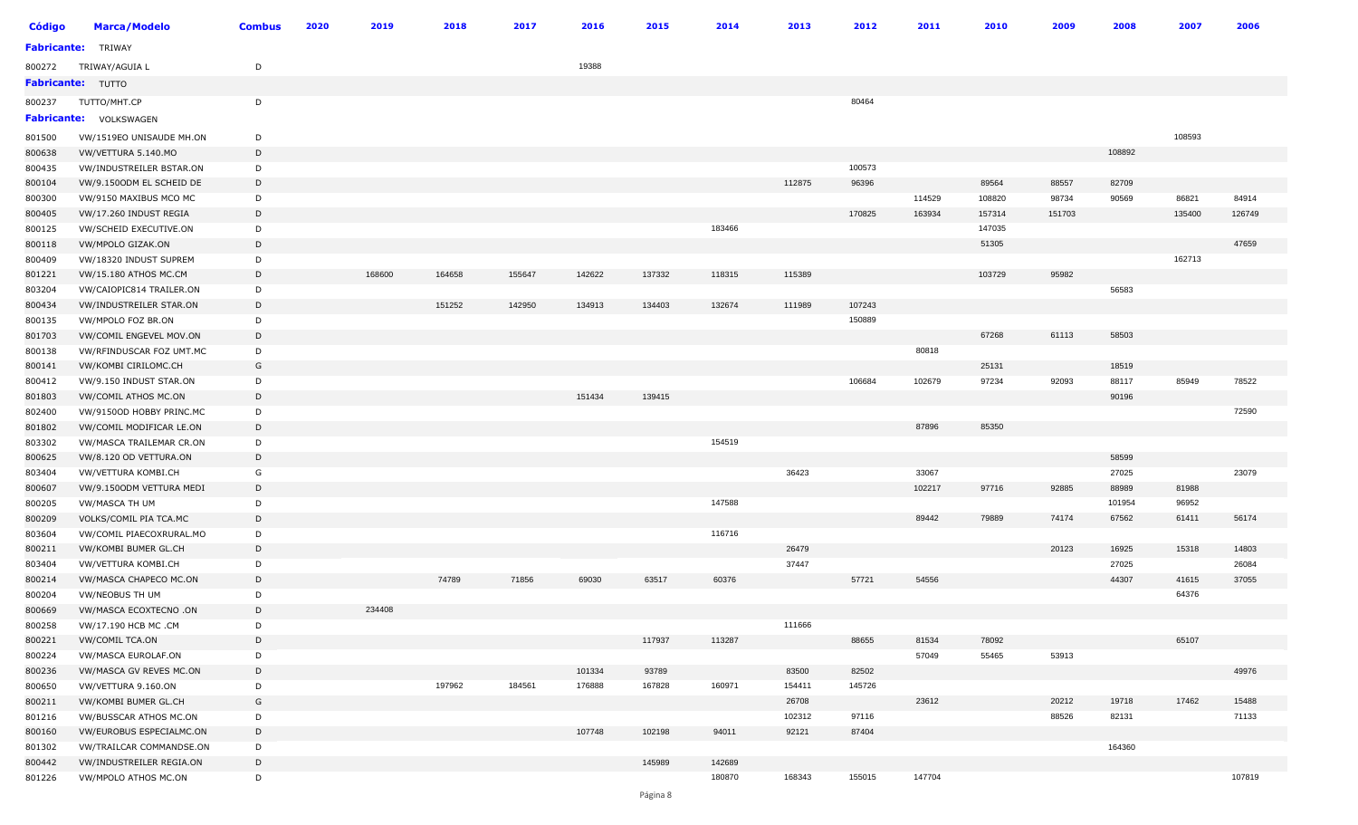| <b>Código</b> | <b>Marca/Modelo</b>           | <b>Combus</b> | 2020 | 2019   | 2018   | 2017   | 2016   | 2015   | 2014   | 2013   | 2012   | 2011   | 2010   | 2009   | 2008   | 2007   | 2006   |
|---------------|-------------------------------|---------------|------|--------|--------|--------|--------|--------|--------|--------|--------|--------|--------|--------|--------|--------|--------|
|               | <b>Fabricante:</b> TRIWAY     |               |      |        |        |        |        |        |        |        |        |        |        |        |        |        |        |
| 800272        | TRIWAY/AGUIA L                | D             |      |        |        |        | 19388  |        |        |        |        |        |        |        |        |        |        |
|               | <b>Fabricante: TUTTO</b>      |               |      |        |        |        |        |        |        |        |        |        |        |        |        |        |        |
| 800237        | TUTTO/MHT.CP                  | D             |      |        |        |        |        |        |        |        | 80464  |        |        |        |        |        |        |
|               | <b>Fabricante: VOLKSWAGEN</b> |               |      |        |        |        |        |        |        |        |        |        |        |        |        |        |        |
| 801500        | VW/1519EO UNISAUDE MH.ON      | D             |      |        |        |        |        |        |        |        |        |        |        |        |        | 108593 |        |
| 800638        | VW/VETTURA 5.140.MO           | D             |      |        |        |        |        |        |        |        |        |        |        |        | 108892 |        |        |
| 800435        | VW/INDUSTREILER BSTAR.ON      | D             |      |        |        |        |        |        |        |        | 100573 |        |        |        |        |        |        |
| 800104        | VW/9.1500DM EL SCHEID DE      | D             |      |        |        |        |        |        |        | 112875 | 96396  |        | 89564  | 88557  | 82709  |        |        |
| 800300        | VW/9150 MAXIBUS MCO MC        | D             |      |        |        |        |        |        |        |        |        | 114529 | 108820 | 98734  | 90569  | 86821  | 84914  |
| 800405        | VW/17.260 INDUST REGIA        | D             |      |        |        |        |        |        |        |        | 170825 | 163934 | 157314 | 151703 |        | 135400 | 126749 |
| 800125        | VW/SCHEID EXECUTIVE.ON        | D             |      |        |        |        |        |        | 183466 |        |        |        | 147035 |        |        |        |        |
| 800118        | VW/MPOLO GIZAK.ON             | D             |      |        |        |        |        |        |        |        |        |        | 51305  |        |        |        | 47659  |
| 800409        | VW/18320 INDUST SUPREM        | D             |      |        |        |        |        |        |        |        |        |        |        |        |        | 162713 |        |
| 801221        | <b>VW/15.180 ATHOS MC.CM</b>  | D             |      | 168600 | 164658 | 155647 | 142622 | 137332 | 118315 | 115389 |        |        | 103729 | 95982  |        |        |        |
| 803204        | VW/CAIOPIC814 TRAILER.ON      | D             |      |        |        |        |        |        |        |        |        |        |        |        | 56583  |        |        |
| 800434        | VW/INDUSTREILER STAR.ON       | D             |      |        | 151252 | 142950 | 134913 | 134403 | 132674 | 111989 | 107243 |        |        |        |        |        |        |
| 800135        | VW/MPOLO FOZ BR.ON            | D             |      |        |        |        |        |        |        |        | 150889 |        |        |        |        |        |        |
| 801703        | VW/COMIL ENGEVEL MOV.ON       | D             |      |        |        |        |        |        |        |        |        |        | 67268  | 61113  | 58503  |        |        |
| 800138        | VW/RFINDUSCAR FOZ UMT.MC      | D             |      |        |        |        |        |        |        |        |        | 80818  |        |        |        |        |        |
| 800141        | VW/KOMBI CIRILOMC.CH          | G             |      |        |        |        |        |        |        |        |        |        | 25131  |        | 18519  |        |        |
| 800412        | VW/9.150 INDUST STAR.ON       | D             |      |        |        |        |        |        |        |        | 106684 | 102679 | 97234  | 92093  | 88117  | 85949  | 78522  |
| 801803        | VW/COMIL ATHOS MC.ON          | D             |      |        |        |        | 151434 | 139415 |        |        |        |        |        |        | 90196  |        |        |
| 802400        | VW/9150OD HOBBY PRINC.MC      | D             |      |        |        |        |        |        |        |        |        |        |        |        |        |        | 72590  |
| 801802        | VW/COMIL MODIFICAR LE.ON      | D             |      |        |        |        |        |        |        |        |        | 87896  | 85350  |        |        |        |        |
| 803302        | VW/MASCA TRAILEMAR CR.ON      | D             |      |        |        |        |        |        | 154519 |        |        |        |        |        |        |        |        |
| 800625        | VW/8.120 OD VETTURA.ON        | D             |      |        |        |        |        |        |        |        |        |        |        |        | 58599  |        |        |
| 803404        | VW/VETTURA KOMBI.CH           | G             |      |        |        |        |        |        |        | 36423  |        | 33067  |        |        | 27025  |        | 23079  |
| 800607        | VW/9.1500DM VETTURA MEDI      | D             |      |        |        |        |        |        |        |        |        | 102217 | 97716  | 92885  | 88989  | 81988  |        |
| 800205        | VW/MASCA TH UM                | D             |      |        |        |        |        |        | 147588 |        |        |        |        |        | 101954 | 96952  |        |
| 800209        | VOLKS/COMIL PIA TCA.MC        | D             |      |        |        |        |        |        |        |        |        | 89442  | 79889  | 74174  | 67562  | 61411  | 56174  |
| 803604        | VW/COMIL PIAECOXRURAL.MO      | D             |      |        |        |        |        |        | 116716 |        |        |        |        |        |        |        |        |
| 800211        | VW/KOMBI BUMER GL.CH          | D             |      |        |        |        |        |        |        | 26479  |        |        |        | 20123  | 16925  | 15318  | 14803  |
| 803404        | VW/VETTURA KOMBI.CH           | D             |      |        |        |        |        |        |        | 37447  |        |        |        |        | 27025  |        | 26084  |
| 800214        | VW/MASCA CHAPECO MC.ON        | D             |      |        | 74789  | 71856  | 69030  | 63517  | 60376  |        | 57721  | 54556  |        |        | 44307  | 41615  | 37055  |
| 800204        | VW/NEOBUS TH UM               | D             |      |        |        |        |        |        |        |        |        |        |        |        |        | 64376  |        |
| 800669        | VW/MASCA ECOXTECNO .ON        | D             |      | 234408 |        |        |        |        |        |        |        |        |        |        |        |        |        |
| 800258        | VW/17.190 HCB MC .CM          | D             |      |        |        |        |        |        |        | 111666 |        |        |        |        |        |        |        |
| 800221        | VW/COMIL TCA.ON               | D             |      |        |        |        |        | 117937 | 113287 |        | 88655  | 81534  | 78092  |        |        | 65107  |        |
| 800224        | VW/MASCA EUROLAF.ON           | D             |      |        |        |        |        |        |        |        |        | 57049  | 55465  | 53913  |        |        |        |
| 800236        | VW/MASCA GV REVES MC.ON       | D             |      |        |        |        | 101334 | 93789  |        | 83500  | 82502  |        |        |        |        |        | 49976  |
| 800650        | VW/VETTURA 9.160.ON           | D             |      |        | 197962 | 184561 | 176888 | 167828 | 160971 | 154411 | 145726 |        |        |        |        |        |        |
| 800211        | VW/KOMBI BUMER GL.CH          | G             |      |        |        |        |        |        |        | 26708  |        | 23612  |        | 20212  | 19718  | 17462  | 15488  |
| 801216        | VW/BUSSCAR ATHOS MC.ON        | D             |      |        |        |        |        |        |        | 102312 | 97116  |        |        | 88526  | 82131  |        | 71133  |
| 800160        | VW/EUROBUS ESPECIALMC.ON      | D             |      |        |        |        | 107748 | 102198 | 94011  | 92121  | 87404  |        |        |        |        |        |        |
| 801302        | VW/TRAILCAR COMMANDSE.ON      | D             |      |        |        |        |        |        |        |        |        |        |        |        | 164360 |        |        |
| 800442        | VW/INDUSTREILER REGIA.ON      | D             |      |        |        |        |        | 145989 | 142689 |        |        |        |        |        |        |        |        |
| 801226        | VW/MPOLO ATHOS MC.ON          | D             |      |        |        |        |        |        | 180870 | 168343 | 155015 | 147704 |        |        |        |        | 107819 |